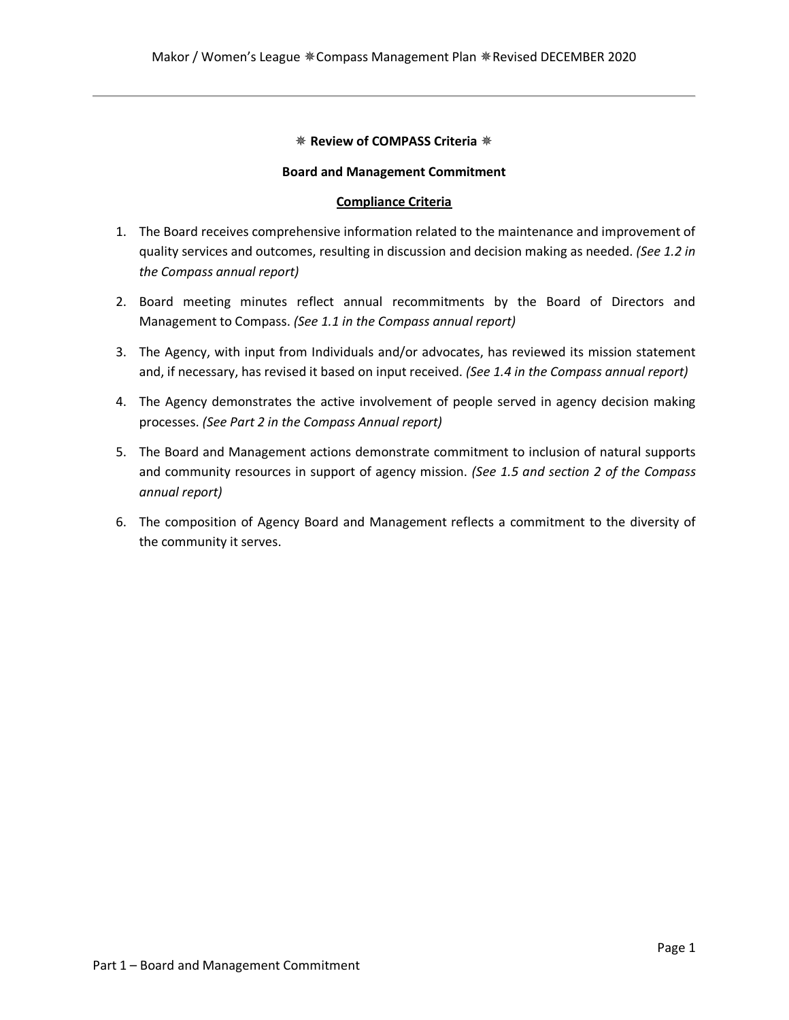#### ✵ **Review of COMPASS Criteria** ✵

#### **Board and Management Commitment**

## **Compliance Criteria**

- 1. The Board receives comprehensive information related to the maintenance and improvement of quality services and outcomes, resulting in discussion and decision making as needed. *(See 1.2 in the Compass annual report)*
- 2. Board meeting minutes reflect annual recommitments by the Board of Directors and Management to Compass. *(See 1.1 in the Compass annual report)*
- 3. The Agency, with input from Individuals and/or advocates, has reviewed its mission statement and, if necessary, has revised it based on input received. *(See 1.4 in the Compass annual report)*
- 4. The Agency demonstrates the active involvement of people served in agency decision making processes. *(See Part 2 in the Compass Annual report)*
- 5. The Board and Management actions demonstrate commitment to inclusion of natural supports and community resources in support of agency mission. *(See 1.5 and section 2 of the Compass annual report)*
- 6. The composition of Agency Board and Management reflects a commitment to the diversity of the community it serves.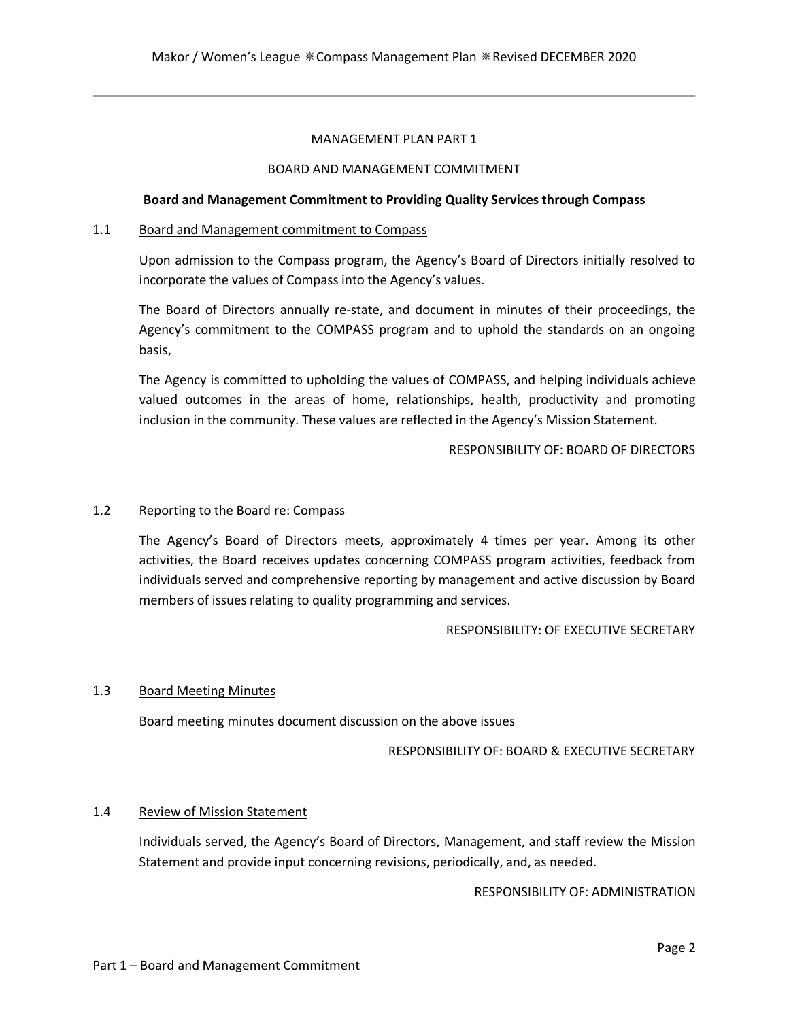#### MANAGEMENT PLAN PART 1

#### BOARD AND MANAGEMENT COMMITMENT

#### **Board and Management Commitment to Providing Quality Services through Compass**

#### 1.1 Board and Management commitment to Compass

Upon admission to the Compass program, the Agency's Board of Directors initially resolved to incorporate the values of Compass into the Agency's values.

The Board of Directors annually re-state, and document in minutes of their proceedings, the Agency's commitment to the COMPASS program and to uphold the standards on an ongoing basis,

The Agency is committed to upholding the values of COMPASS, and helping individuals achieve valued outcomes in the areas of home, relationships, health, productivity and promoting inclusion in the community. These values are reflected in the Agency's Mission Statement.

#### RESPONSIBILITY OF: BOARD OF DIRECTORS

#### 1.2 Reporting to the Board re: Compass

The Agency's Board of Directors meets, approximately 4 times per year. Among its other activities, the Board receives updates concerning COMPASS program activities, feedback from individuals served and comprehensive reporting by management and active discussion by Board members of issues relating to quality programming and services.

## RESPONSIBILITY: OF EXECUTIVE SECRETARY

#### 1.3 Board Meeting Minutes

Board meeting minutes document discussion on the above issues

#### RESPONSIBILITY OF: BOARD & EXECUTIVE SECRETARY

#### 1.4 Review of Mission Statement

Individuals served, the Agency's Board of Directors, Management, and staff review the Mission Statement and provide input concerning revisions, periodically, and, as needed.

# RESPONSIBILITY OF: ADMINISTRATION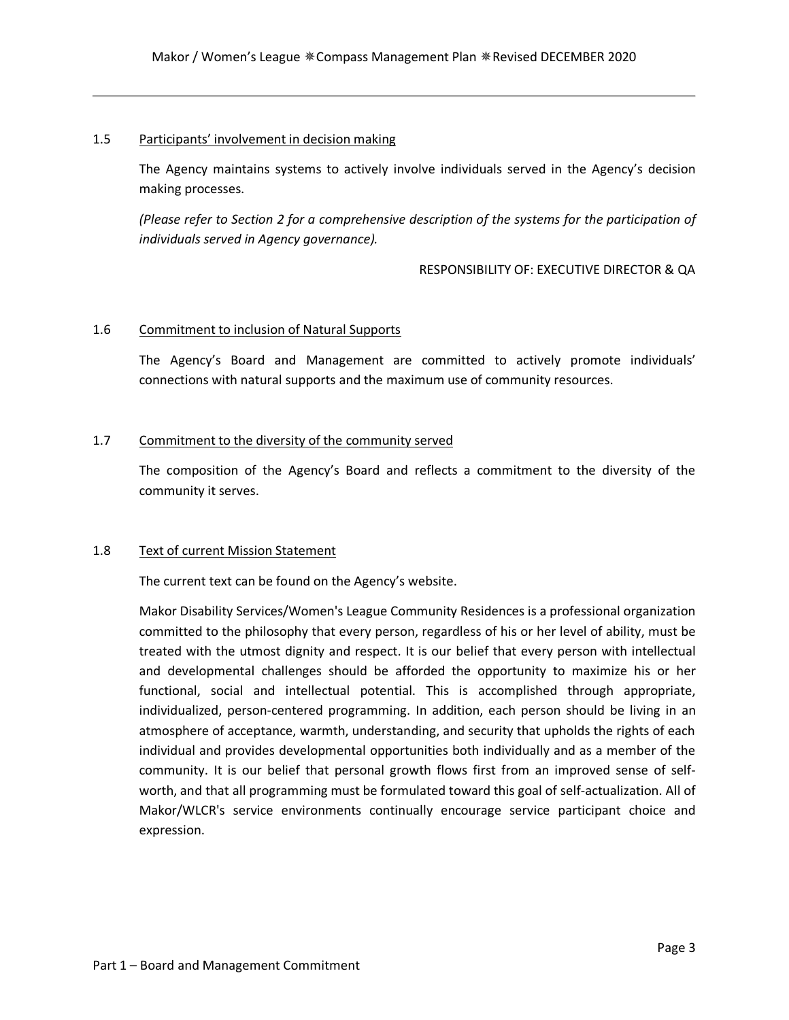#### 1.5 Participants' involvement in decision making

The Agency maintains systems to actively involve individuals served in the Agency's decision making processes.

*(Please refer to Section 2 for a comprehensive description of the systems for the participation of individuals served in Agency governance).*

#### RESPONSIBILITY OF: EXECUTIVE DIRECTOR & QA

#### 1.6 Commitment to inclusion of Natural Supports

The Agency's Board and Management are committed to actively promote individuals' connections with natural supports and the maximum use of community resources.

#### 1.7 Commitment to the diversity of the community served

The composition of the Agency's Board and reflects a commitment to the diversity of the community it serves.

#### 1.8 Text of current Mission Statement

The current text can be found on the Agency's website.

Makor Disability Services/Women's League Community Residences is a professional organization committed to the philosophy that every person, regardless of his or her level of ability, must be treated with the utmost dignity and respect. It is our belief that every person with intellectual and developmental challenges should be afforded the opportunity to maximize his or her functional, social and intellectual potential. This is accomplished through appropriate, individualized, person-centered programming. In addition, each person should be living in an atmosphere of acceptance, warmth, understanding, and security that upholds the rights of each individual and provides developmental opportunities both individually and as a member of the community. It is our belief that personal growth flows first from an improved sense of selfworth, and that all programming must be formulated toward this goal of self-actualization. All of Makor/WLCR's service environments continually encourage service participant choice and expression.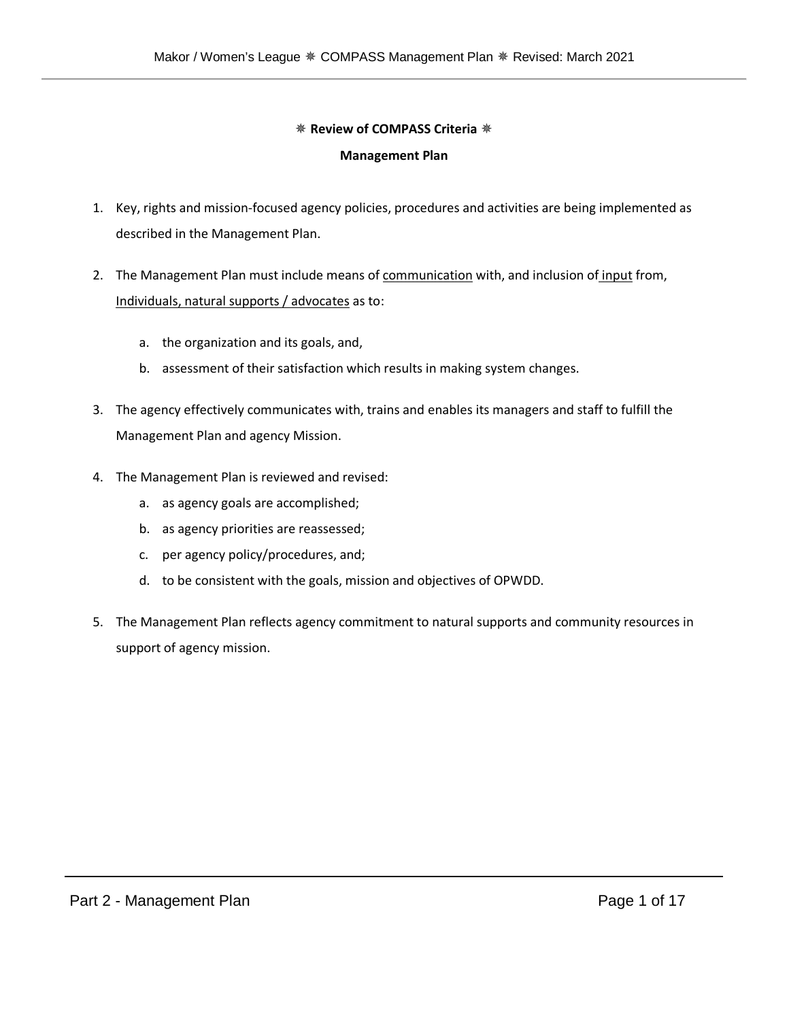# ✵ **Review of COMPASS Criteria** ✵

# **Management Plan**

- 1. Key, rights and mission-focused agency policies, procedures and activities are being implemented as described in the Management Plan.
- 2. The Management Plan must include means of communication with, and inclusion of input from, Individuals, natural supports / advocates as to:
	- a. the organization and its goals, and,
	- b. assessment of their satisfaction which results in making system changes.
- 3. The agency effectively communicates with, trains and enables its managers and staff to fulfill the Management Plan and agency Mission.
- 4. The Management Plan is reviewed and revised:
	- a. as agency goals are accomplished;
	- b. as agency priorities are reassessed;
	- c. per agency policy/procedures, and;
	- d. to be consistent with the goals, mission and objectives of OPWDD.
- 5. The Management Plan reflects agency commitment to natural supports and community resources in support of agency mission.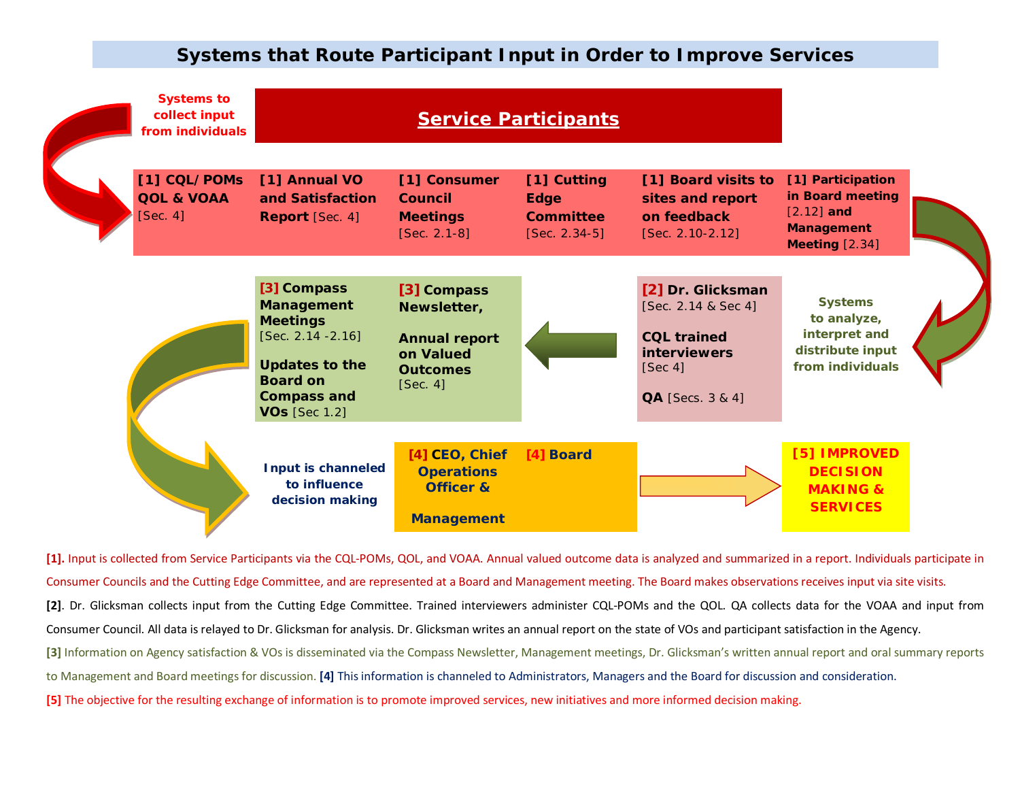# **Systems that Route Participant Input in Order to Improve Services**



**[1].** Input is collected from Service Participants via the CQL-POMs, QOL, and VOAA. Annual valued outcome data is analyzed and summarized in a report. Individuals participate in Consumer Councils and the Cutting Edge Committee, and are represented at a Board and Management meeting. The Board makes observations receives input via site visits. **[2]**. Dr. Glicksman collects input from the Cutting Edge Committee. Trained interviewers administer CQL-POMs and the QOL. QA collects data for the VOAA and input from Consumer Council. All data is relayed to Dr. Glicksman for analysis. Dr. Glicksman writes an annual report on the state of VOs and participant satisfaction in the Agency. **[3]** Information on Agency satisfaction & VOs is disseminated via the Compass Newsletter, Management meetings, Dr. Glicksman's written annual report and oral summary reports to Management and Board meetings for discussion. **[4]** This information is channeled to Administrators, Managers and the Board for discussion and consideration. **[5]** The objective for the resulting exchange of information is to promote improved services, new initiatives and more informed decision making.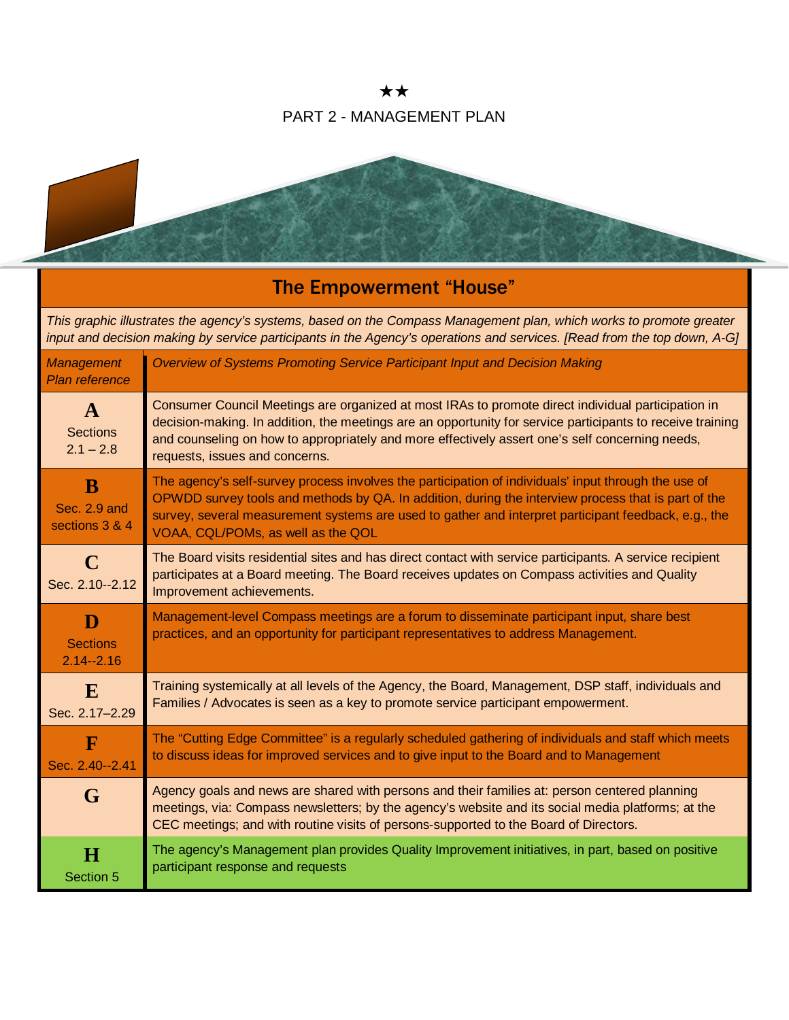★★ PART 2 - MANAGEMENT PLAN



# The Empowerment "House"

*This graphic illustrates the agency's systems, based on the Compass Management plan, which works to promote greater input and decision making by service participants in the Agency's operations and services. [Read from the top down, A-G]*

| <b>Management</b><br><b>Plan reference</b>     | Overview of Systems Promoting Service Participant Input and Decision Making                                                                                                                                                                                                                                                                               |
|------------------------------------------------|-----------------------------------------------------------------------------------------------------------------------------------------------------------------------------------------------------------------------------------------------------------------------------------------------------------------------------------------------------------|
| $\mathbf{A}$<br><b>Sections</b><br>$2.1 - 2.8$ | Consumer Council Meetings are organized at most IRAs to promote direct individual participation in<br>decision-making. In addition, the meetings are an opportunity for service participants to receive training<br>and counseling on how to appropriately and more effectively assert one's self concerning needs,<br>requests, issues and concerns.     |
| B<br>Sec. 2.9 and<br>sections 3 & 4            | The agency's self-survey process involves the participation of individuals' input through the use of<br>OPWDD survey tools and methods by QA. In addition, during the interview process that is part of the<br>survey, several measurement systems are used to gather and interpret participant feedback, e.g., the<br>VOAA, CQL/POMs, as well as the QOL |
| $\mathbf C$<br>Sec. 2.10--2.12                 | The Board visits residential sites and has direct contact with service participants. A service recipient<br>participates at a Board meeting. The Board receives updates on Compass activities and Quality<br>Improvement achievements.                                                                                                                    |
| D<br><b>Sections</b><br>$2.14 - 2.16$          | Management-level Compass meetings are a forum to disseminate participant input, share best<br>practices, and an opportunity for participant representatives to address Management.                                                                                                                                                                        |
| E<br>Sec. 2.17-2.29                            | Training systemically at all levels of the Agency, the Board, Management, DSP staff, individuals and<br>Families / Advocates is seen as a key to promote service participant empowerment.                                                                                                                                                                 |
| $\mathbf F$<br>Sec. 2.40--2.41                 | The "Cutting Edge Committee" is a regularly scheduled gathering of individuals and staff which meets<br>to discuss ideas for improved services and to give input to the Board and to Management                                                                                                                                                           |
| G                                              | Agency goals and news are shared with persons and their families at: person centered planning<br>meetings, via: Compass newsletters; by the agency's website and its social media platforms; at the<br>CEC meetings; and with routine visits of persons-supported to the Board of Directors.                                                              |
| $\bf H$<br>Section 5                           | The agency's Management plan provides Quality Improvement initiatives, in part, based on positive<br>participant response and requests                                                                                                                                                                                                                    |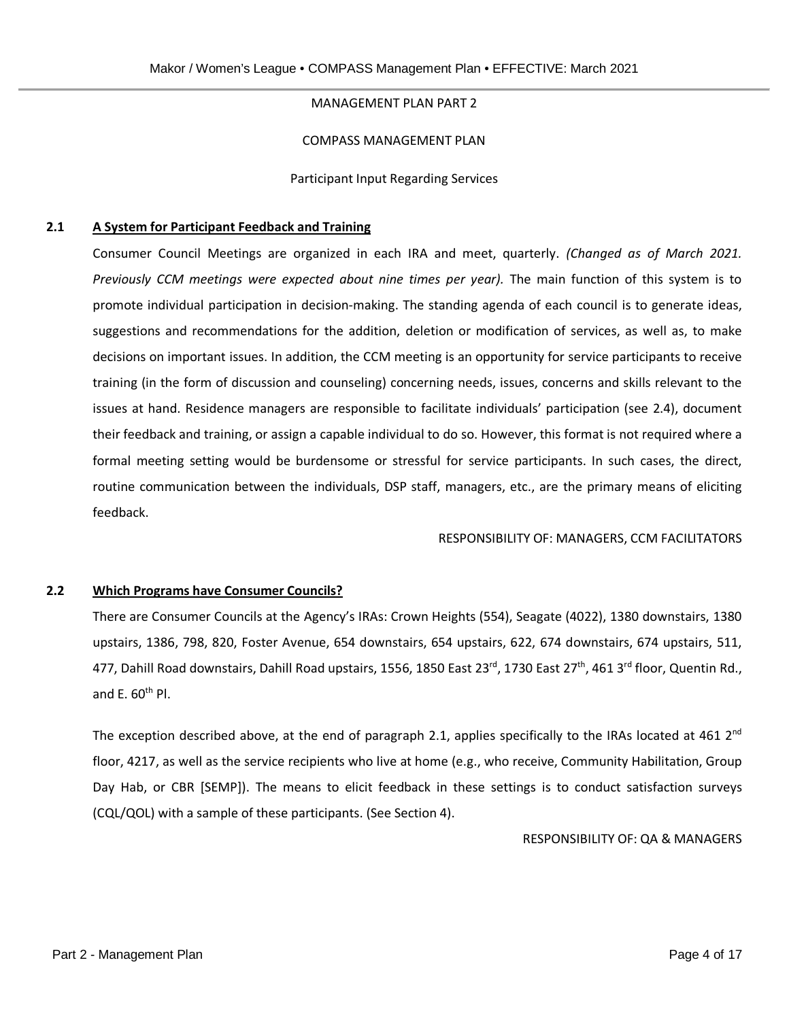## MANAGEMENT PLAN PART 2

#### COMPASS MANAGEMENT PLAN

Participant Input Regarding Services

## **2.1 A System for Participant Feedback and Training**

Consumer Council Meetings are organized in each IRA and meet, quarterly. *(Changed as of March 2021. Previously CCM meetings were expected about nine times per year).* The main function of this system is to promote individual participation in decision-making. The standing agenda of each council is to generate ideas, suggestions and recommendations for the addition, deletion or modification of services, as well as, to make decisions on important issues. In addition, the CCM meeting is an opportunity for service participants to receive training (in the form of discussion and counseling) concerning needs, issues, concerns and skills relevant to the issues at hand. Residence managers are responsible to facilitate individuals' participation (see 2.4), document their feedback and training, or assign a capable individual to do so. However, this format is not required where a formal meeting setting would be burdensome or stressful for service participants. In such cases, the direct, routine communication between the individuals, DSP staff, managers, etc., are the primary means of eliciting feedback.

RESPONSIBILITY OF: MANAGERS, CCM FACILITATORS

#### **2.2 Which Programs have Consumer Councils?**

There are Consumer Councils at the Agency's IRAs: Crown Heights (554), Seagate (4022), 1380 downstairs, 1380 upstairs, 1386, 798, 820, Foster Avenue, 654 downstairs, 654 upstairs, 622, 674 downstairs, 674 upstairs, 511, 477, Dahill Road downstairs, Dahill Road upstairs, 1556, 1850 East 23<sup>rd</sup>, 1730 East 27<sup>th</sup>, 461 3<sup>rd</sup> floor, Quentin Rd., and E.  $60<sup>th</sup>$  Pl.

The exception described above, at the end of paragraph 2.1, applies specifically to the IRAs located at 461  $2^{nd}$ floor, 4217, as well as the service recipients who live at home (e.g., who receive, Community Habilitation, Group Day Hab, or CBR [SEMP]). The means to elicit feedback in these settings is to conduct satisfaction surveys (CQL/QOL) with a sample of these participants. (See Section 4).

RESPONSIBILITY OF: QA & MANAGERS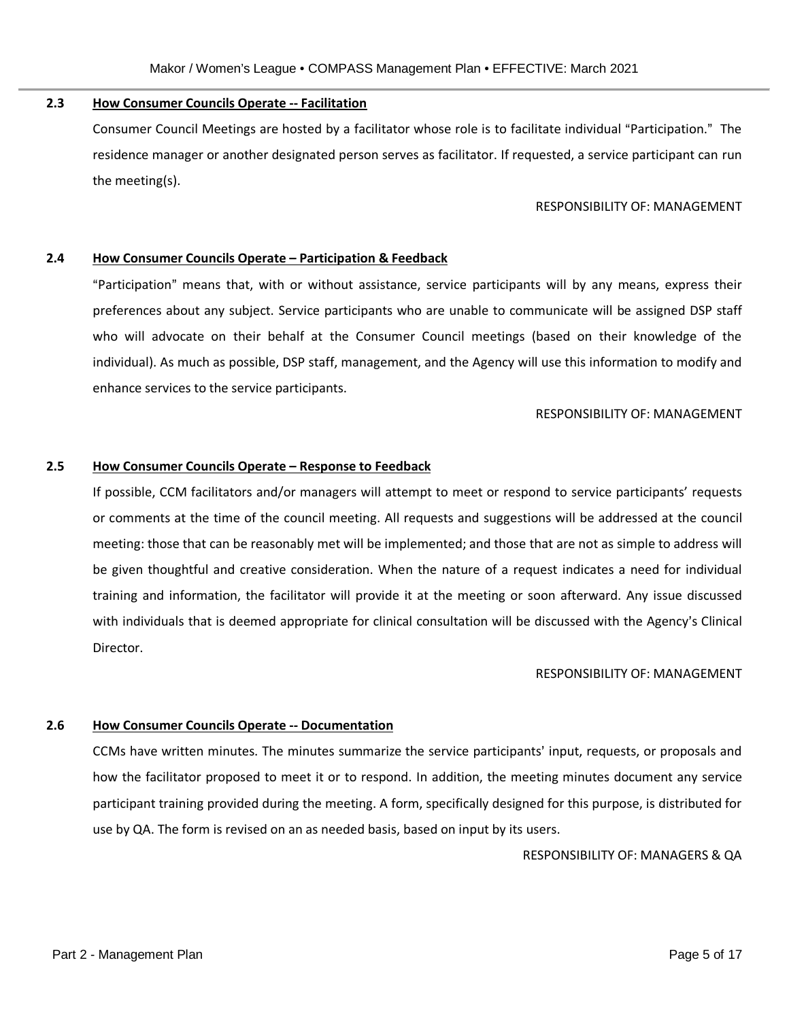# **2.3 How Consumer Councils Operate -- Facilitation**

Consumer Council Meetings are hosted by a facilitator whose role is to facilitate individual "Participation." The residence manager or another designated person serves as facilitator. If requested, a service participant can run the meeting(s).

#### RESPONSIBILITY OF: MANAGEMENT

#### **2.4 How Consumer Councils Operate – Participation & Feedback**

"Participation" means that, with or without assistance, service participants will by any means, express their preferences about any subject. Service participants who are unable to communicate will be assigned DSP staff who will advocate on their behalf at the Consumer Council meetings (based on their knowledge of the individual). As much as possible, DSP staff, management, and the Agency will use this information to modify and enhance services to the service participants.

#### RESPONSIBILITY OF: MANAGEMENT

#### **2.5 How Consumer Councils Operate – Response to Feedback**

If possible, CCM facilitators and/or managers will attempt to meet or respond to service participants' requests or comments at the time of the council meeting. All requests and suggestions will be addressed at the council meeting: those that can be reasonably met will be implemented; and those that are not as simple to address will be given thoughtful and creative consideration. When the nature of a request indicates a need for individual training and information, the facilitator will provide it at the meeting or soon afterward. Any issue discussed with individuals that is deemed appropriate for clinical consultation will be discussed with the Agency's Clinical Director.

#### RESPONSIBILITY OF: MANAGEMENT

# **2.6 How Consumer Councils Operate -- Documentation**

CCMs have written minutes. The minutes summarize the service participants' input, requests, or proposals and how the facilitator proposed to meet it or to respond. In addition, the meeting minutes document any service participant training provided during the meeting. A form, specifically designed for this purpose, is distributed for use by QA. The form is revised on an as needed basis, based on input by its users.

RESPONSIBILITY OF: MANAGERS & QA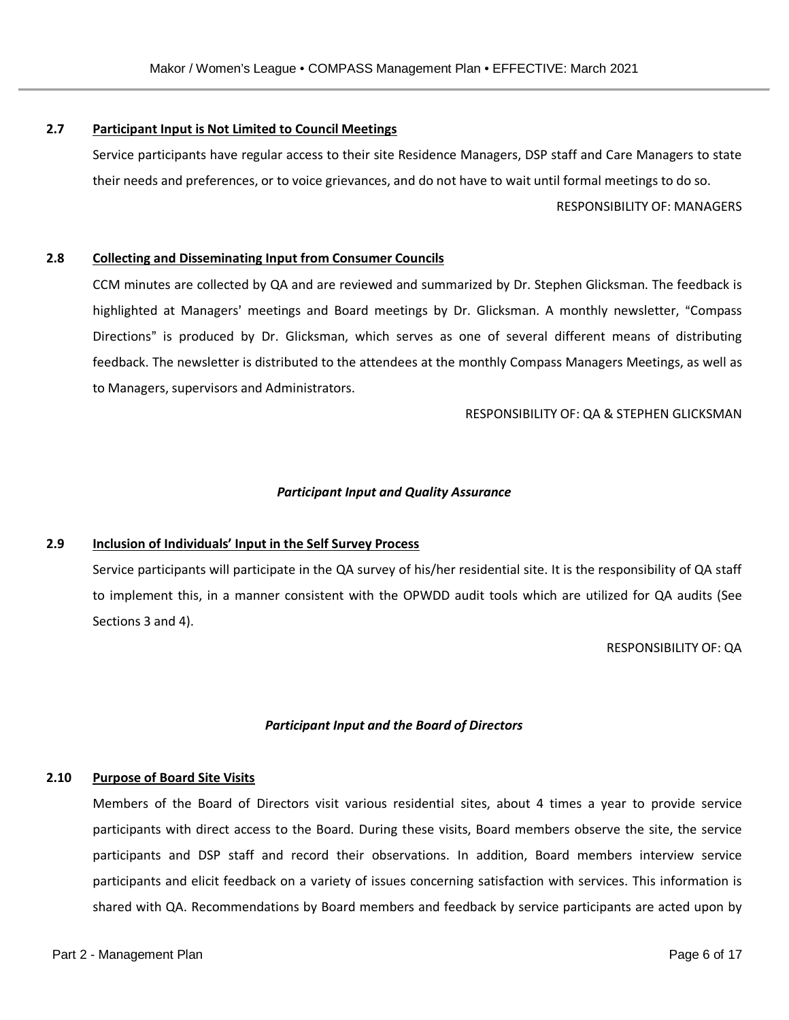# **2.7 Participant Input is Not Limited to Council Meetings**

Service participants have regular access to their site Residence Managers, DSP staff and Care Managers to state their needs and preferences, or to voice grievances, and do not have to wait until formal meetings to do so.

RESPONSIBILITY OF: MANAGERS

## **2.8 Collecting and Disseminating Input from Consumer Councils**

CCM minutes are collected by QA and are reviewed and summarized by Dr. Stephen Glicksman. The feedback is highlighted at Managers' meetings and Board meetings by Dr. Glicksman. A monthly newsletter, "Compass Directions" is produced by Dr. Glicksman, which serves as one of several different means of distributing feedback. The newsletter is distributed to the attendees at the monthly Compass Managers Meetings, as well as to Managers, supervisors and Administrators.

#### RESPONSIBILITY OF: QA & STEPHEN GLICKSMAN

## *Participant Input and Quality Assurance*

#### **2.9 Inclusion of Individuals' Input in the Self Survey Process**

Service participants will participate in the QA survey of his/her residential site. It is the responsibility of QA staff to implement this, in a manner consistent with the OPWDD audit tools which are utilized for QA audits (See Sections 3 and 4).

RESPONSIBILITY OF: QA

# *Participant Input and the Board of Directors*

#### **2.10 Purpose of Board Site Visits**

Members of the Board of Directors visit various residential sites, about 4 times a year to provide service participants with direct access to the Board. During these visits, Board members observe the site, the service participants and DSP staff and record their observations. In addition, Board members interview service participants and elicit feedback on a variety of issues concerning satisfaction with services. This information is shared with QA. Recommendations by Board members and feedback by service participants are acted upon by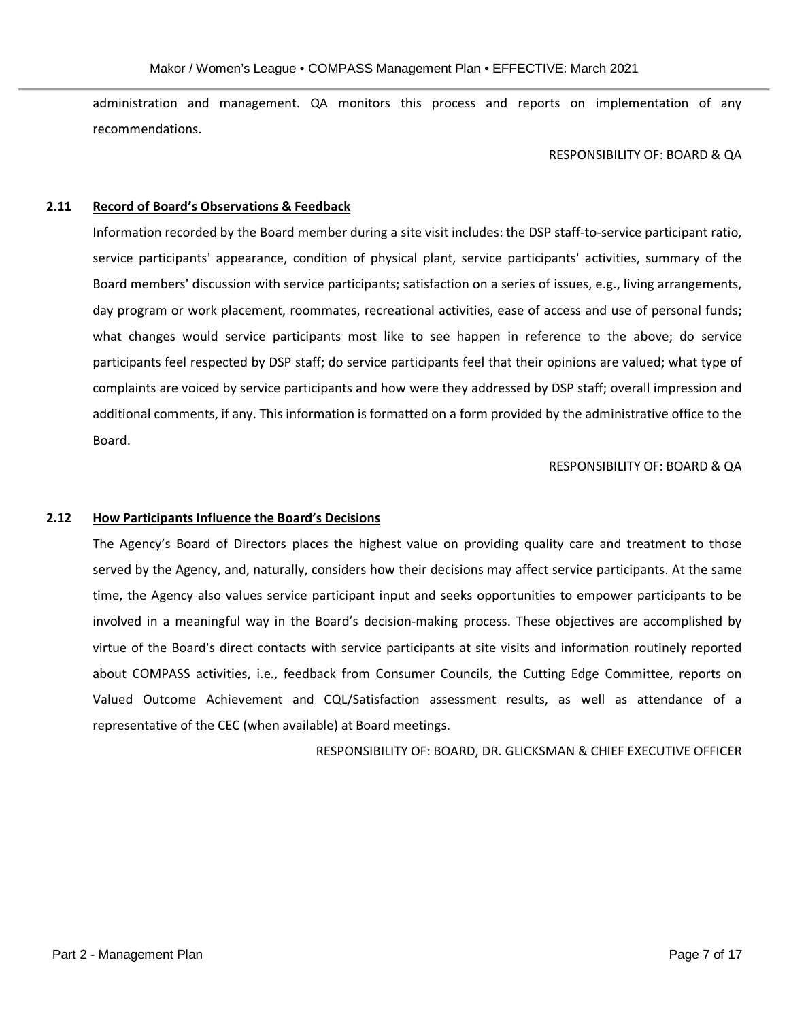administration and management. QA monitors this process and reports on implementation of any recommendations.

#### RESPONSIBILITY OF: BOARD & QA

#### **2.11 Record of Board's Observations & Feedback**

Information recorded by the Board member during a site visit includes: the DSP staff-to-service participant ratio, service participants' appearance, condition of physical plant, service participants' activities, summary of the Board members' discussion with service participants; satisfaction on a series of issues, e.g., living arrangements, day program or work placement, roommates, recreational activities, ease of access and use of personal funds; what changes would service participants most like to see happen in reference to the above; do service participants feel respected by DSP staff; do service participants feel that their opinions are valued; what type of complaints are voiced by service participants and how were they addressed by DSP staff; overall impression and additional comments, if any. This information is formatted on a form provided by the administrative office to the Board.

RESPONSIBILITY OF: BOARD & QA

#### **2.12 How Participants Influence the Board's Decisions**

The Agency's Board of Directors places the highest value on providing quality care and treatment to those served by the Agency, and, naturally, considers how their decisions may affect service participants. At the same time, the Agency also values service participant input and seeks opportunities to empower participants to be involved in a meaningful way in the Board's decision-making process. These objectives are accomplished by virtue of the Board's direct contacts with service participants at site visits and information routinely reported about COMPASS activities, i.e., feedback from Consumer Councils, the Cutting Edge Committee, reports on Valued Outcome Achievement and CQL/Satisfaction assessment results, as well as attendance of a representative of the CEC (when available) at Board meetings.

RESPONSIBILITY OF: BOARD, DR. GLICKSMAN & CHIEF EXECUTIVE OFFICER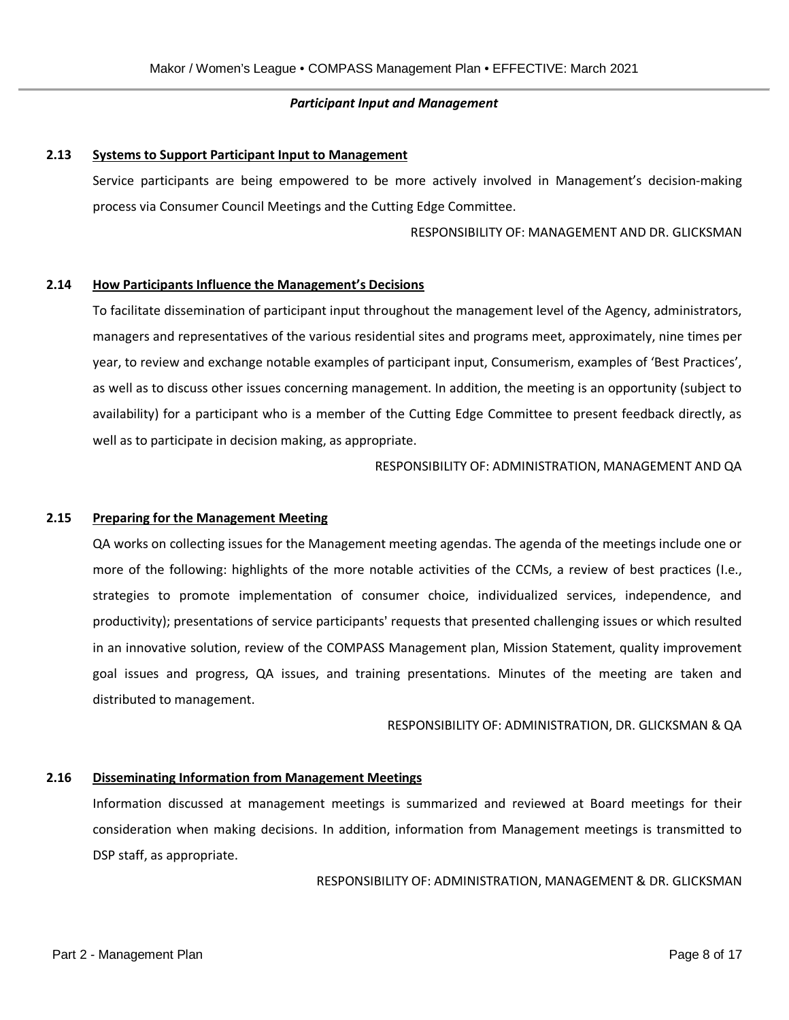#### *Participant Input and Management*

#### **2.13 Systems to Support Participant Input to Management**

Service participants are being empowered to be more actively involved in Management's decision-making process via Consumer Council Meetings and the Cutting Edge Committee.

RESPONSIBILITY OF: MANAGEMENT AND DR. GLICKSMAN

#### **2.14 How Participants Influence the Management's Decisions**

To facilitate dissemination of participant input throughout the management level of the Agency, administrators, managers and representatives of the various residential sites and programs meet, approximately, nine times per year, to review and exchange notable examples of participant input, Consumerism, examples of 'Best Practices', as well as to discuss other issues concerning management. In addition, the meeting is an opportunity (subject to availability) for a participant who is a member of the Cutting Edge Committee to present feedback directly, as well as to participate in decision making, as appropriate.

RESPONSIBILITY OF: ADMINISTRATION, MANAGEMENT AND QA

#### **2.15 Preparing for the Management Meeting**

QA works on collecting issues for the Management meeting agendas. The agenda of the meetings include one or more of the following: highlights of the more notable activities of the CCMs, a review of best practices (I.e., strategies to promote implementation of consumer choice, individualized services, independence, and productivity); presentations of service participants' requests that presented challenging issues or which resulted in an innovative solution, review of the COMPASS Management plan, Mission Statement, quality improvement goal issues and progress, QA issues, and training presentations. Minutes of the meeting are taken and distributed to management.

RESPONSIBILITY OF: ADMINISTRATION, DR. GLICKSMAN & QA

#### **2.16 Disseminating Information from Management Meetings**

Information discussed at management meetings is summarized and reviewed at Board meetings for their consideration when making decisions. In addition, information from Management meetings is transmitted to DSP staff, as appropriate.

RESPONSIBILITY OF: ADMINISTRATION, MANAGEMENT & DR. GLICKSMAN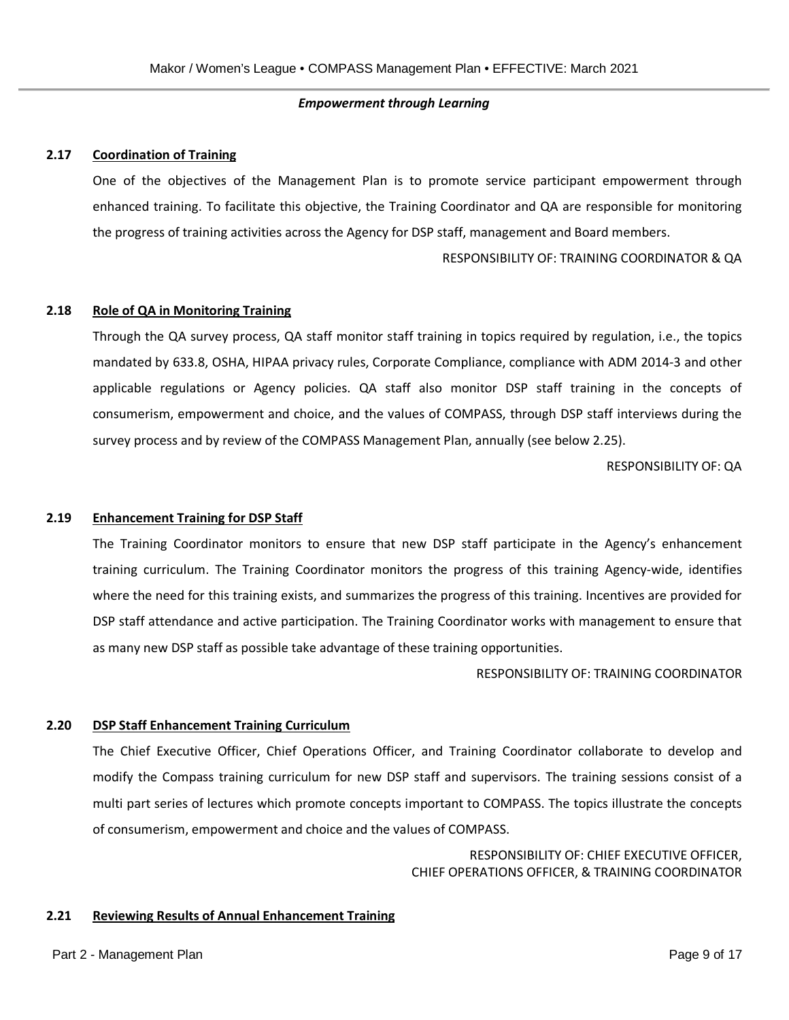#### *Empowerment through Learning*

#### **2.17 Coordination of Training**

One of the objectives of the Management Plan is to promote service participant empowerment through enhanced training. To facilitate this objective, the Training Coordinator and QA are responsible for monitoring the progress of training activities across the Agency for DSP staff, management and Board members.

RESPONSIBILITY OF: TRAINING COORDINATOR & QA

#### **2.18 Role of QA in Monitoring Training**

Through the QA survey process, QA staff monitor staff training in topics required by regulation, i.e., the topics mandated by 633.8, OSHA, HIPAA privacy rules, Corporate Compliance, compliance with ADM 2014-3 and other applicable regulations or Agency policies. QA staff also monitor DSP staff training in the concepts of consumerism, empowerment and choice, and the values of COMPASS, through DSP staff interviews during the survey process and by review of the COMPASS Management Plan, annually (see below 2.25).

RESPONSIBILITY OF: QA

#### **2.19 Enhancement Training for DSP Staff**

The Training Coordinator monitors to ensure that new DSP staff participate in the Agency's enhancement training curriculum. The Training Coordinator monitors the progress of this training Agency-wide, identifies where the need for this training exists, and summarizes the progress of this training. Incentives are provided for DSP staff attendance and active participation. The Training Coordinator works with management to ensure that as many new DSP staff as possible take advantage of these training opportunities.

RESPONSIBILITY OF: TRAINING COORDINATOR

#### **2.20 DSP Staff Enhancement Training Curriculum**

The Chief Executive Officer, Chief Operations Officer, and Training Coordinator collaborate to develop and modify the Compass training curriculum for new DSP staff and supervisors. The training sessions consist of a multi part series of lectures which promote concepts important to COMPASS. The topics illustrate the concepts of consumerism, empowerment and choice and the values of COMPASS.

> RESPONSIBILITY OF: CHIEF EXECUTIVE OFFICER, CHIEF OPERATIONS OFFICER, & TRAINING COORDINATOR

#### **2.21 Reviewing Results of Annual Enhancement Training**

#### Part 2 - Management Plan Page 9 of 17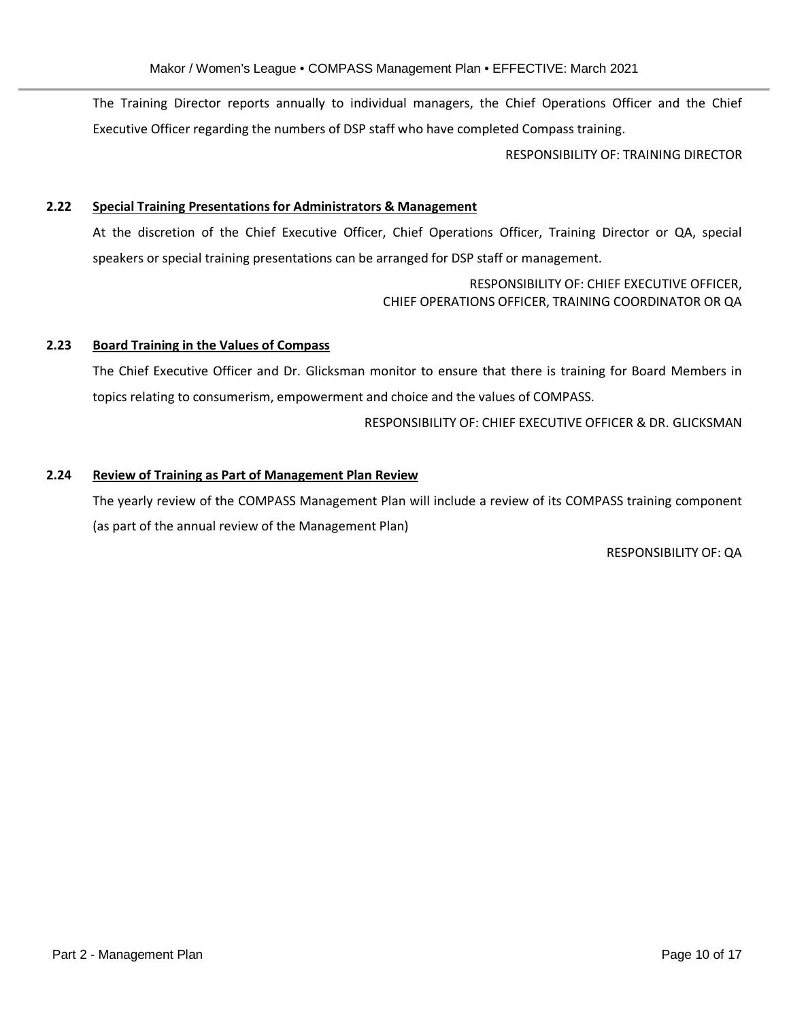The Training Director reports annually to individual managers, the Chief Operations Officer and the Chief Executive Officer regarding the numbers of DSP staff who have completed Compass training.

RESPONSIBILITY OF: TRAINING DIRECTOR

#### **2.22 Special Training Presentations for Administrators & Management**

At the discretion of the Chief Executive Officer, Chief Operations Officer, Training Director or QA, special speakers or special training presentations can be arranged for DSP staff or management.

> RESPONSIBILITY OF: CHIEF EXECUTIVE OFFICER, CHIEF OPERATIONS OFFICER, TRAINING COORDINATOR OR QA

## **2.23 Board Training in the Values of Compass**

The Chief Executive Officer and Dr. Glicksman monitor to ensure that there is training for Board Members in topics relating to consumerism, empowerment and choice and the values of COMPASS.

RESPONSIBILITY OF: CHIEF EXECUTIVE OFFICER & DR. GLICKSMAN

# **2.24 Review of Training as Part of Management Plan Review**

The yearly review of the COMPASS Management Plan will include a review of its COMPASS training component (as part of the annual review of the Management Plan)

RESPONSIBILITY OF: QA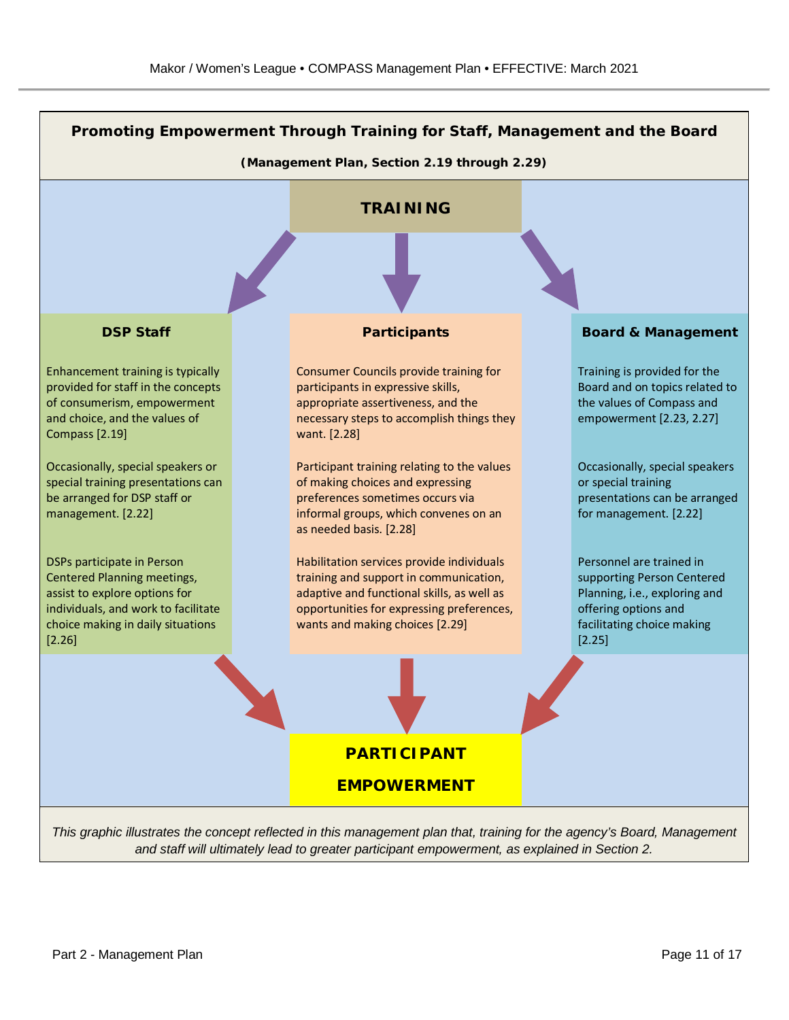

*and staff will ultimately lead to greater participant empowerment, as explained in Section 2.*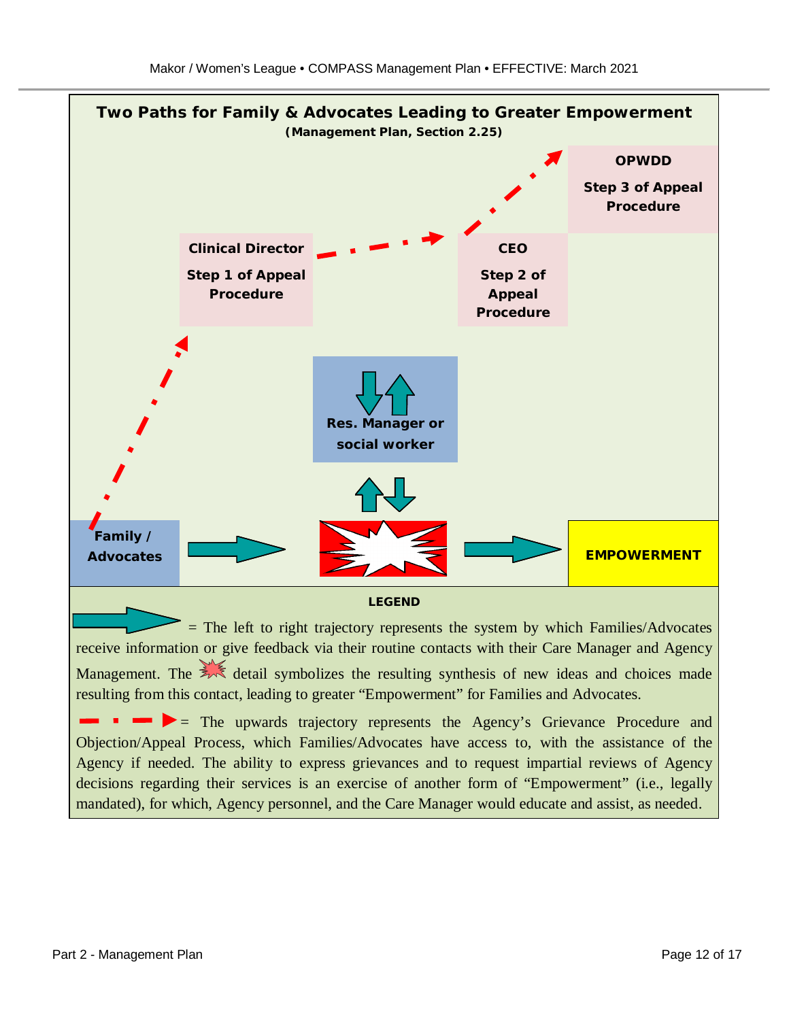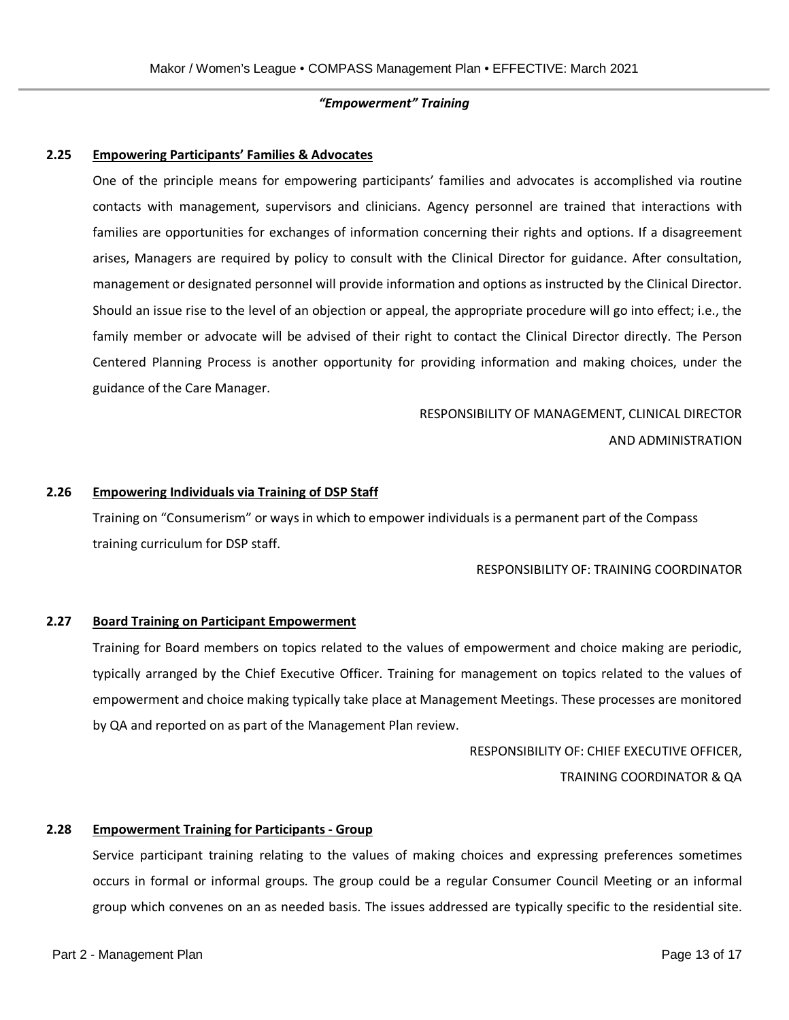#### *"Empowerment" Training*

#### **2.25 Empowering Participants' Families & Advocates**

One of the principle means for empowering participants' families and advocates is accomplished via routine contacts with management, supervisors and clinicians. Agency personnel are trained that interactions with families are opportunities for exchanges of information concerning their rights and options. If a disagreement arises, Managers are required by policy to consult with the Clinical Director for guidance. After consultation, management or designated personnel will provide information and options as instructed by the Clinical Director. Should an issue rise to the level of an objection or appeal, the appropriate procedure will go into effect; i.e., the family member or advocate will be advised of their right to contact the Clinical Director directly. The Person Centered Planning Process is another opportunity for providing information and making choices, under the guidance of the Care Manager.

# RESPONSIBILITY OF MANAGEMENT, CLINICAL DIRECTOR AND ADMINISTRATION

#### **2.26 Empowering Individuals via Training of DSP Staff**

Training on "Consumerism" or ways in which to empower individuals is a permanent part of the Compass training curriculum for DSP staff.

#### RESPONSIBILITY OF: TRAINING COORDINATOR

#### **2.27 Board Training on Participant Empowerment**

Training for Board members on topics related to the values of empowerment and choice making are periodic, typically arranged by the Chief Executive Officer. Training for management on topics related to the values of empowerment and choice making typically take place at Management Meetings. These processes are monitored by QA and reported on as part of the Management Plan review.

RESPONSIBILITY OF: CHIEF EXECUTIVE OFFICER,

TRAINING COORDINATOR & QA

#### **2.28 Empowerment Training for Participants - Group**

Service participant training relating to the values of making choices and expressing preferences sometimes occurs in formal or informal groups. The group could be a regular Consumer Council Meeting or an informal group which convenes on an as needed basis. The issues addressed are typically specific to the residential site.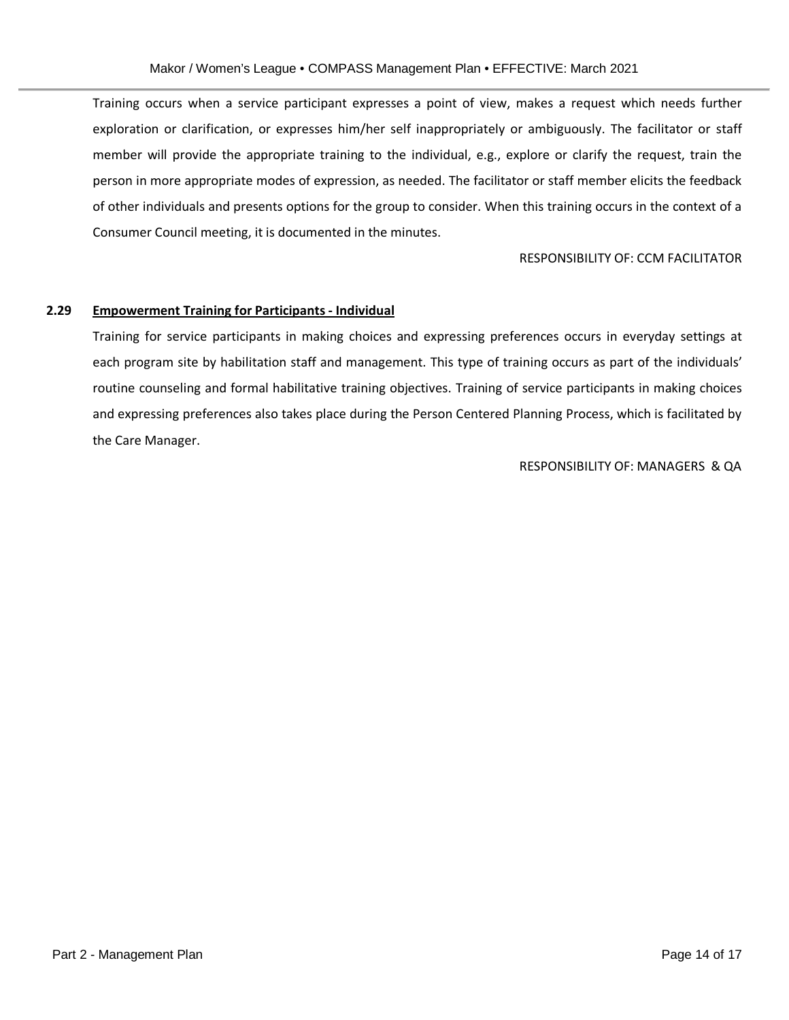Training occurs when a service participant expresses a point of view, makes a request which needs further exploration or clarification, or expresses him/her self inappropriately or ambiguously. The facilitator or staff member will provide the appropriate training to the individual, e.g., explore or clarify the request, train the person in more appropriate modes of expression, as needed. The facilitator or staff member elicits the feedback of other individuals and presents options for the group to consider. When this training occurs in the context of a Consumer Council meeting, it is documented in the minutes.

#### RESPONSIBILITY OF: CCM FACILITATOR

#### **2.29 Empowerment Training for Participants - Individual**

Training for service participants in making choices and expressing preferences occurs in everyday settings at each program site by habilitation staff and management. This type of training occurs as part of the individuals' routine counseling and formal habilitative training objectives. Training of service participants in making choices and expressing preferences also takes place during the Person Centered Planning Process, which is facilitated by the Care Manager.

RESPONSIBILITY OF: MANAGERS & QA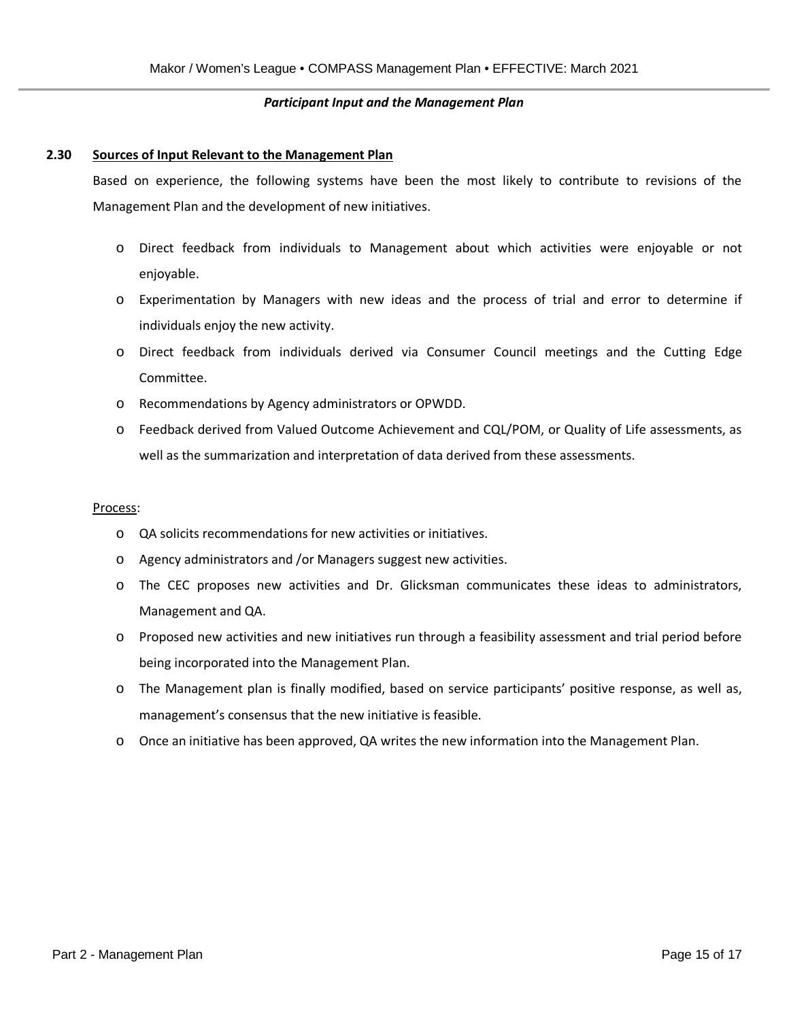#### *Participant Input and the Management Plan*

#### **2.30 Sources of Input Relevant to the Management Plan**

Based on experience, the following systems have been the most likely to contribute to revisions of the Management Plan and the development of new initiatives.

- o Direct feedback from individuals to Management about which activities were enjoyable or not enjoyable.
- o Experimentation by Managers with new ideas and the process of trial and error to determine if individuals enjoy the new activity.
- o Direct feedback from individuals derived via Consumer Council meetings and the Cutting Edge Committee.
- o Recommendations by Agency administrators or OPWDD.
- o Feedback derived from Valued Outcome Achievement and CQL/POM, or Quality of Life assessments, as well as the summarization and interpretation of data derived from these assessments.

#### Process:

- o QA solicits recommendations for new activities or initiatives.
- o Agency administrators and /or Managers suggest new activities.
- o The CEC proposes new activities and Dr. Glicksman communicates these ideas to administrators, Management and QA.
- o Proposed new activities and new initiatives run through a feasibility assessment and trial period before being incorporated into the Management Plan.
- o The Management plan is finally modified, based on service participants' positive response, as well as, management's consensus that the new initiative is feasible.
- o Once an initiative has been approved, QA writes the new information into the Management Plan.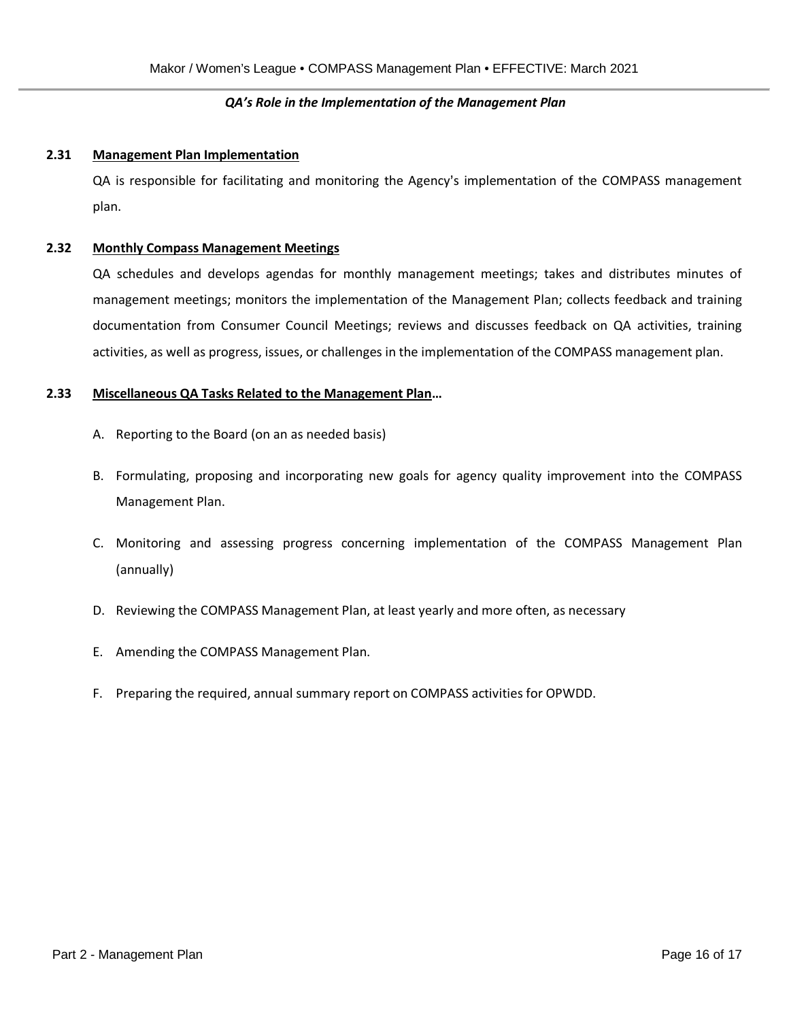# *QA's Role in the Implementation of the Management Plan*

#### **2.31 Management Plan Implementation**

QA is responsible for facilitating and monitoring the Agency's implementation of the COMPASS management plan.

#### **2.32 Monthly Compass Management Meetings**

QA schedules and develops agendas for monthly management meetings; takes and distributes minutes of management meetings; monitors the implementation of the Management Plan; collects feedback and training documentation from Consumer Council Meetings; reviews and discusses feedback on QA activities, training activities, as well as progress, issues, or challenges in the implementation of the COMPASS management plan.

#### **2.33 Miscellaneous QA Tasks Related to the Management Plan…**

- A. Reporting to the Board (on an as needed basis)
- B. Formulating, proposing and incorporating new goals for agency quality improvement into the COMPASS Management Plan.
- C. Monitoring and assessing progress concerning implementation of the COMPASS Management Plan (annually)
- D. Reviewing the COMPASS Management Plan, at least yearly and more often, as necessary
- E. Amending the COMPASS Management Plan.
- F. Preparing the required, annual summary report on COMPASS activities for OPWDD.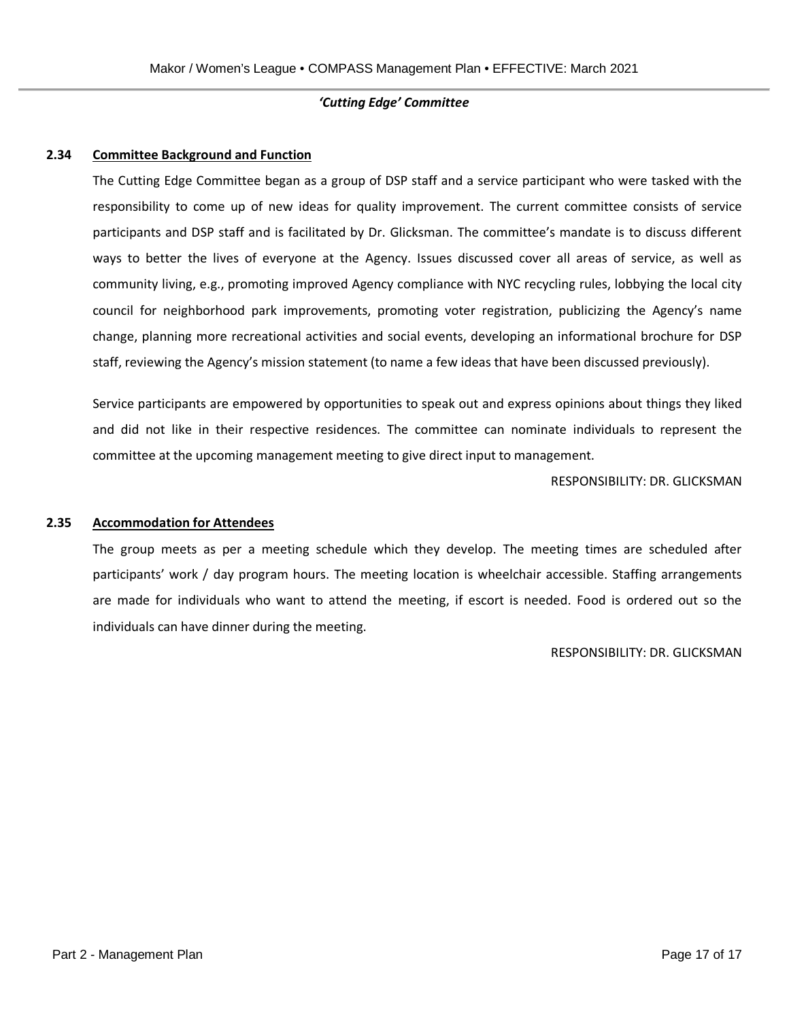# *'Cutting Edge' Committee*

#### **2.34 Committee Background and Function**

The Cutting Edge Committee began as a group of DSP staff and a service participant who were tasked with the responsibility to come up of new ideas for quality improvement. The current committee consists of service participants and DSP staff and is facilitated by Dr. Glicksman. The committee's mandate is to discuss different ways to better the lives of everyone at the Agency. Issues discussed cover all areas of service, as well as community living, e.g., promoting improved Agency compliance with NYC recycling rules, lobbying the local city council for neighborhood park improvements, promoting voter registration, publicizing the Agency's name change, planning more recreational activities and social events, developing an informational brochure for DSP staff, reviewing the Agency's mission statement (to name a few ideas that have been discussed previously).

Service participants are empowered by opportunities to speak out and express opinions about things they liked and did not like in their respective residences. The committee can nominate individuals to represent the committee at the upcoming management meeting to give direct input to management.

RESPONSIBILITY: DR. GLICKSMAN

#### **2.35 Accommodation for Attendees**

The group meets as per a meeting schedule which they develop. The meeting times are scheduled after participants' work / day program hours. The meeting location is wheelchair accessible. Staffing arrangements are made for individuals who want to attend the meeting, if escort is needed. Food is ordered out so the individuals can have dinner during the meeting.

#### RESPONSIBILITY: DR. GLICKSMAN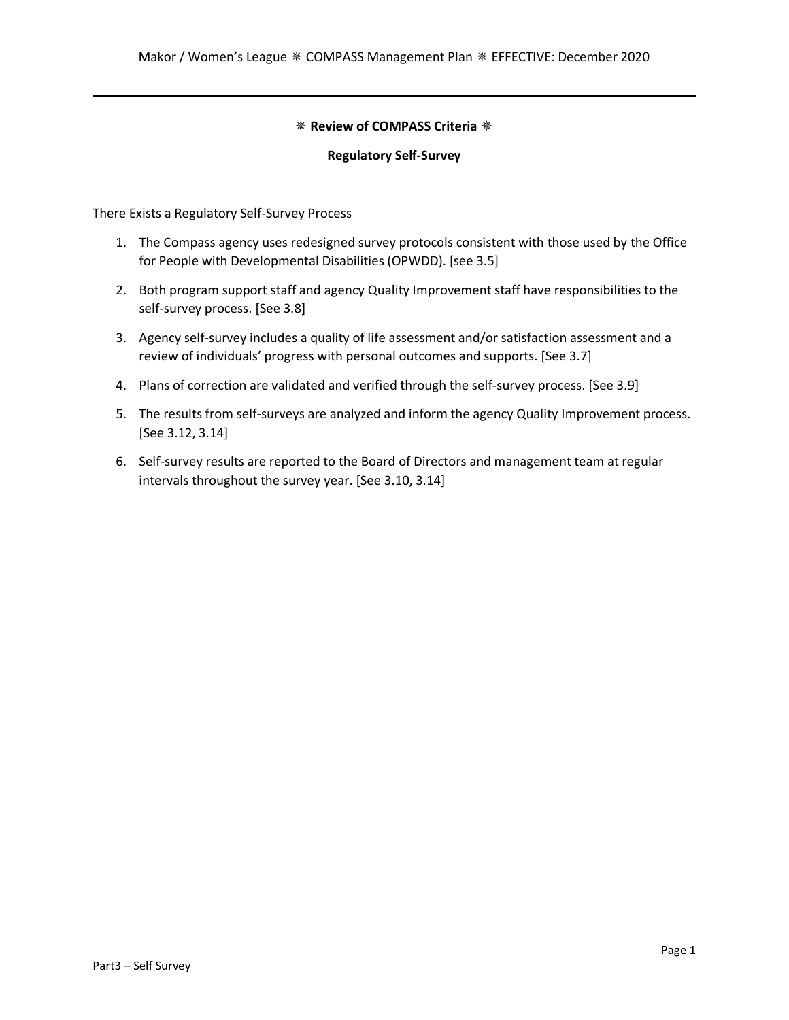# ✵ **Review of COMPASS Criteria** ✵

#### **Regulatory Self-Survey**

There Exists a Regulatory Self-Survey Process

- 1. The Compass agency uses redesigned survey protocols consistent with those used by the Office for People with Developmental Disabilities (OPWDD). [see 3.5]
- 2. Both program support staff and agency Quality Improvement staff have responsibilities to the self-survey process. [See 3.8]
- 3. Agency self-survey includes a quality of life assessment and/or satisfaction assessment and a review of individuals' progress with personal outcomes and supports. [See 3.7]
- 4. Plans of correction are validated and verified through the self-survey process. [See 3.9]
- 5. The results from self-surveys are analyzed and inform the agency Quality Improvement process. [See 3.12, 3.14]
- 6. Self-survey results are reported to the Board of Directors and management team at regular intervals throughout the survey year. [See 3.10, 3.14]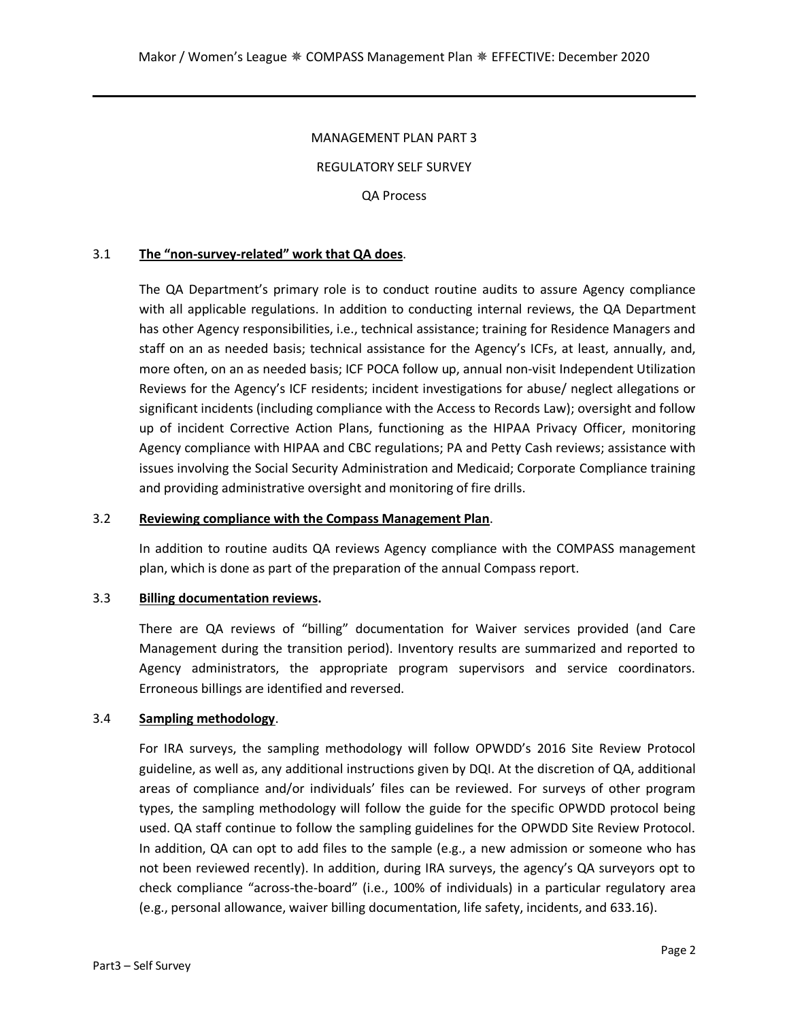#### MANAGEMENT PLAN PART 3

REGULATORY SELF SURVEY

QA Process

#### 3.1 **The "non-survey-related" work that QA does**.

The QA Department's primary role is to conduct routine audits to assure Agency compliance with all applicable regulations. In addition to conducting internal reviews, the QA Department has other Agency responsibilities, i.e., technical assistance; training for Residence Managers and staff on an as needed basis; technical assistance for the Agency's ICFs, at least, annually, and, more often, on an as needed basis; ICF POCA follow up, annual non-visit Independent Utilization Reviews for the Agency's ICF residents; incident investigations for abuse/ neglect allegations or significant incidents (including compliance with the Access to Records Law); oversight and follow up of incident Corrective Action Plans, functioning as the HIPAA Privacy Officer, monitoring Agency compliance with HIPAA and CBC regulations; PA and Petty Cash reviews; assistance with issues involving the Social Security Administration and Medicaid; Corporate Compliance training and providing administrative oversight and monitoring of fire drills.

#### 3.2 **Reviewing compliance with the Compass Management Plan**.

In addition to routine audits QA reviews Agency compliance with the COMPASS management plan, which is done as part of the preparation of the annual Compass report.

#### 3.3 **Billing documentation reviews.**

There are QA reviews of "billing" documentation for Waiver services provided (and Care Management during the transition period). Inventory results are summarized and reported to Agency administrators, the appropriate program supervisors and service coordinators. Erroneous billings are identified and reversed.

#### 3.4 **Sampling methodology**.

For IRA surveys, the sampling methodology will follow OPWDD's 2016 Site Review Protocol guideline, as well as, any additional instructions given by DQI. At the discretion of QA, additional areas of compliance and/or individuals' files can be reviewed. For surveys of other program types, the sampling methodology will follow the guide for the specific OPWDD protocol being used. QA staff continue to follow the sampling guidelines for the OPWDD Site Review Protocol. In addition, QA can opt to add files to the sample (e.g., a new admission or someone who has not been reviewed recently). In addition, during IRA surveys, the agency's QA surveyors opt to check compliance "across-the-board" (i.e., 100% of individuals) in a particular regulatory area (e.g., personal allowance, waiver billing documentation, life safety, incidents, and 633.16).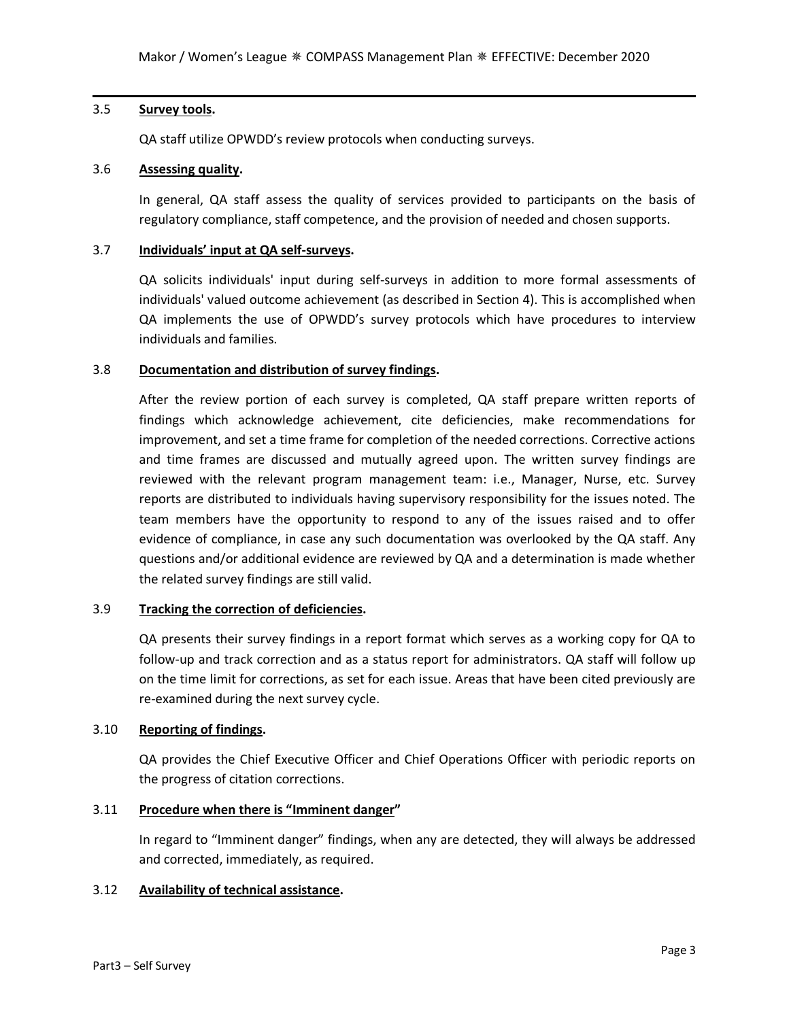## 3.5 **Survey tools.**

QA staff utilize OPWDD's review protocols when conducting surveys.

# 3.6 **Assessing quality.**

In general, QA staff assess the quality of services provided to participants on the basis of regulatory compliance, staff competence, and the provision of needed and chosen supports.

#### 3.7 **Individuals' input at QA self-surveys.**

QA solicits individuals' input during self-surveys in addition to more formal assessments of individuals' valued outcome achievement (as described in Section 4). This is accomplished when QA implements the use of OPWDD's survey protocols which have procedures to interview individuals and families.

## 3.8 **Documentation and distribution of survey findings.**

After the review portion of each survey is completed, QA staff prepare written reports of findings which acknowledge achievement, cite deficiencies, make recommendations for improvement, and set a time frame for completion of the needed corrections. Corrective actions and time frames are discussed and mutually agreed upon. The written survey findings are reviewed with the relevant program management team: i.e., Manager, Nurse, etc. Survey reports are distributed to individuals having supervisory responsibility for the issues noted. The team members have the opportunity to respond to any of the issues raised and to offer evidence of compliance, in case any such documentation was overlooked by the QA staff. Any questions and/or additional evidence are reviewed by QA and a determination is made whether the related survey findings are still valid.

# 3.9 **Tracking the correction of deficiencies.**

QA presents their survey findings in a report format which serves as a working copy for QA to follow-up and track correction and as a status report for administrators. QA staff will follow up on the time limit for corrections, as set for each issue. Areas that have been cited previously are re-examined during the next survey cycle.

# 3.10 **Reporting of findings.**

QA provides the Chief Executive Officer and Chief Operations Officer with periodic reports on the progress of citation corrections.

#### 3.11 **Procedure when there is "Imminent danger"**

In regard to "Imminent danger" findings, when any are detected, they will always be addressed and corrected, immediately, as required.

#### 3.12 **Availability of technical assistance.**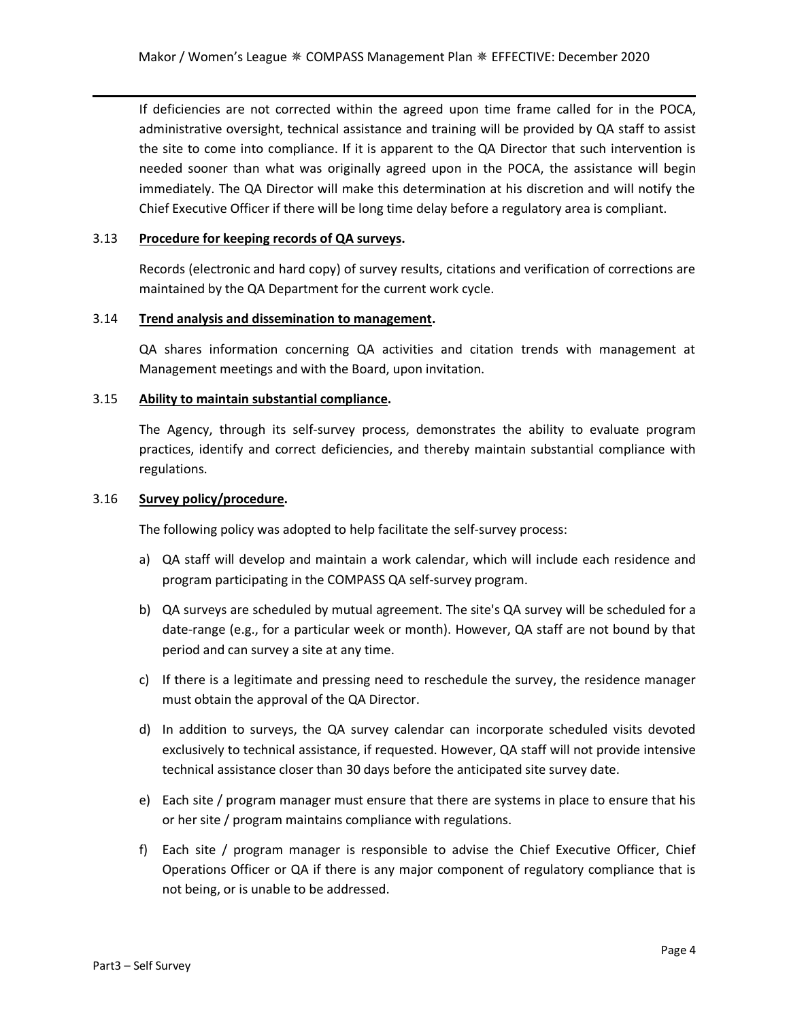If deficiencies are not corrected within the agreed upon time frame called for in the POCA, administrative oversight, technical assistance and training will be provided by QA staff to assist the site to come into compliance. If it is apparent to the QA Director that such intervention is needed sooner than what was originally agreed upon in the POCA, the assistance will begin immediately. The QA Director will make this determination at his discretion and will notify the Chief Executive Officer if there will be long time delay before a regulatory area is compliant.

#### 3.13 **Procedure for keeping records of QA surveys.**

Records (electronic and hard copy) of survey results, citations and verification of corrections are maintained by the QA Department for the current work cycle.

#### 3.14 **Trend analysis and dissemination to management.**

QA shares information concerning QA activities and citation trends with management at Management meetings and with the Board, upon invitation.

## 3.15 **Ability to maintain substantial compliance.**

The Agency, through its self-survey process, demonstrates the ability to evaluate program practices, identify and correct deficiencies, and thereby maintain substantial compliance with regulations.

#### 3.16 **Survey policy/procedure.**

The following policy was adopted to help facilitate the self-survey process:

- a) QA staff will develop and maintain a work calendar, which will include each residence and program participating in the COMPASS QA self-survey program.
- b) QA surveys are scheduled by mutual agreement. The site's QA survey will be scheduled for a date-range (e.g., for a particular week or month). However, QA staff are not bound by that period and can survey a site at any time.
- c) If there is a legitimate and pressing need to reschedule the survey, the residence manager must obtain the approval of the QA Director.
- d) In addition to surveys, the QA survey calendar can incorporate scheduled visits devoted exclusively to technical assistance, if requested. However, QA staff will not provide intensive technical assistance closer than 30 days before the anticipated site survey date.
- e) Each site / program manager must ensure that there are systems in place to ensure that his or her site / program maintains compliance with regulations.
- f) Each site / program manager is responsible to advise the Chief Executive Officer, Chief Operations Officer or QA if there is any major component of regulatory compliance that is not being, or is unable to be addressed.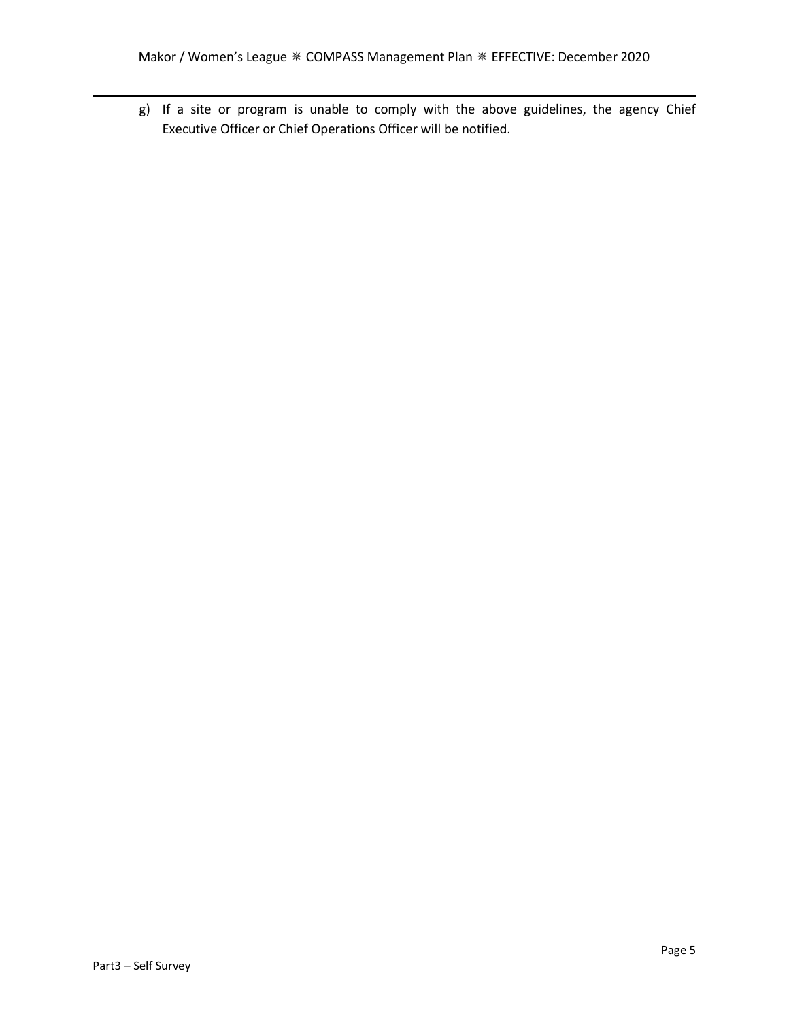g) If a site or program is unable to comply with the above guidelines, the agency Chief Executive Officer or Chief Operations Officer will be notified.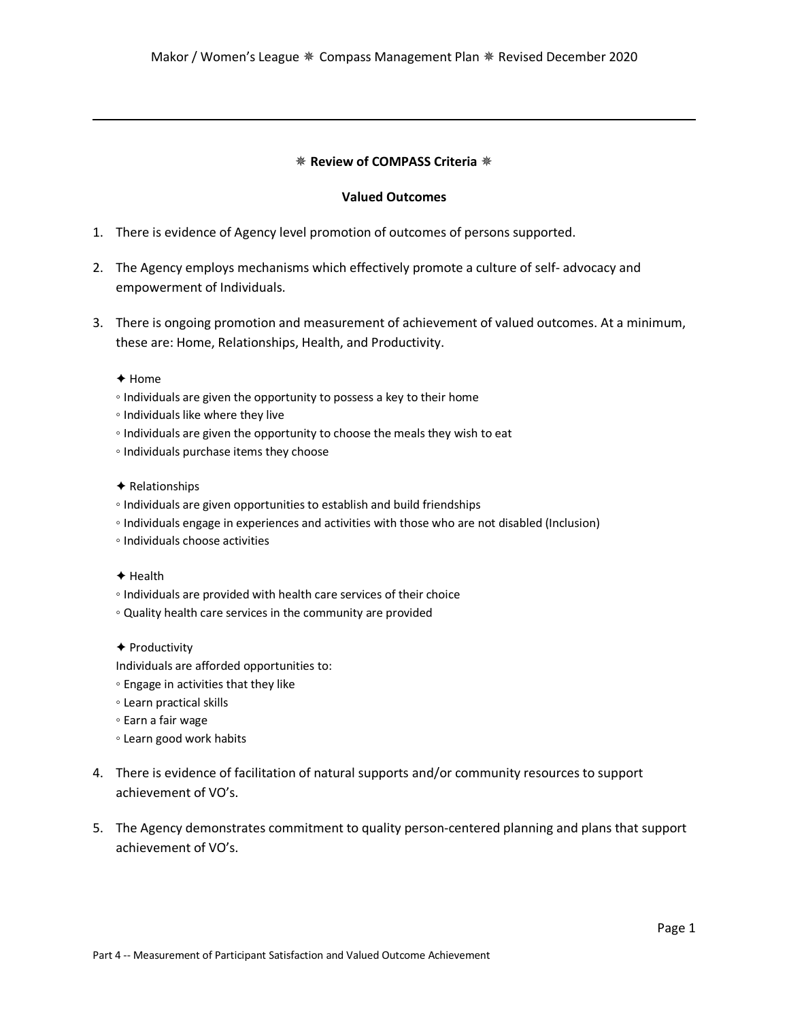## ✵ **Review of COMPASS Criteria** ✵

#### **Valued Outcomes**

- 1. There is evidence of Agency level promotion of outcomes of persons supported.
- 2. The Agency employs mechanisms which effectively promote a culture of self- advocacy and empowerment of Individuals.
- 3. There is ongoing promotion and measurement of achievement of valued outcomes. At a minimum, these are: Home, Relationships, Health, and Productivity.

#### ✦ Home

- Individuals are given the opportunity to possess a key to their home
- Individuals like where they live
- Individuals are given the opportunity to choose the meals they wish to eat
- Individuals purchase items they choose

#### ✦ Relationships

- Individuals are given opportunities to establish and build friendships
- Individuals engage in experiences and activities with those who are not disabled (Inclusion)
- Individuals choose activities

#### ✦ Health

- Individuals are provided with health care services of their choice
- Quality health care services in the community are provided
- ✦ Productivity

Individuals are afforded opportunities to:

- Engage in activities that they like
- Learn practical skills
- Earn a fair wage
- Learn good work habits
- 4. There is evidence of facilitation of natural supports and/or community resources to support achievement of VO's.
- 5. The Agency demonstrates commitment to quality person-centered planning and plans that support achievement of VO's.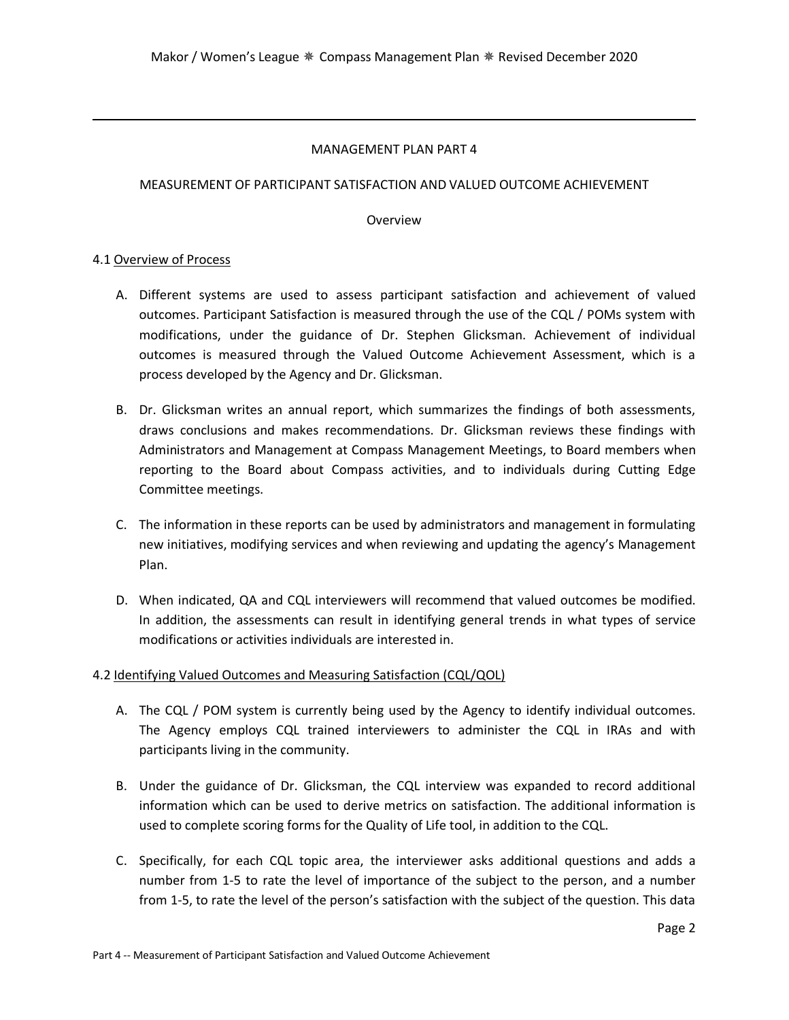# MANAGEMENT PLAN PART 4

# MEASUREMENT OF PARTICIPANT SATISFACTION AND VALUED OUTCOME ACHIEVEMENT

# Overview

# 4.1 Overview of Process

- A. Different systems are used to assess participant satisfaction and achievement of valued outcomes. Participant Satisfaction is measured through the use of the CQL / POMs system with modifications, under the guidance of Dr. Stephen Glicksman. Achievement of individual outcomes is measured through the Valued Outcome Achievement Assessment, which is a process developed by the Agency and Dr. Glicksman.
- B. Dr. Glicksman writes an annual report, which summarizes the findings of both assessments, draws conclusions and makes recommendations. Dr. Glicksman reviews these findings with Administrators and Management at Compass Management Meetings, to Board members when reporting to the Board about Compass activities, and to individuals during Cutting Edge Committee meetings.
- C. The information in these reports can be used by administrators and management in formulating new initiatives, modifying services and when reviewing and updating the agency's Management Plan.
- D. When indicated, QA and CQL interviewers will recommend that valued outcomes be modified. In addition, the assessments can result in identifying general trends in what types of service modifications or activities individuals are interested in.

# 4.2 Identifying Valued Outcomes and Measuring Satisfaction (CQL/QOL)

- A. The CQL / POM system is currently being used by the Agency to identify individual outcomes. The Agency employs CQL trained interviewers to administer the CQL in IRAs and with participants living in the community.
- B. Under the guidance of Dr. Glicksman, the CQL interview was expanded to record additional information which can be used to derive metrics on satisfaction. The additional information is used to complete scoring forms for the Quality of Life tool, in addition to the CQL.
- C. Specifically, for each CQL topic area, the interviewer asks additional questions and adds a number from 1-5 to rate the level of importance of the subject to the person, and a number from 1-5, to rate the level of the person's satisfaction with the subject of the question. This data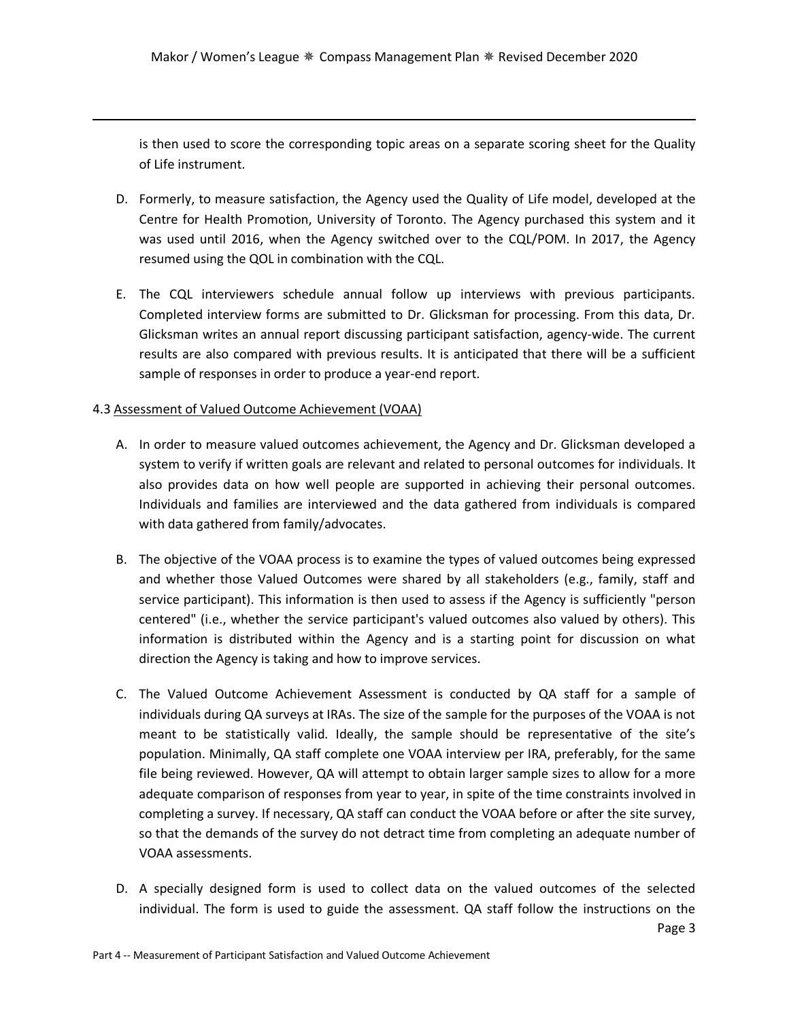is then used to score the corresponding topic areas on a separate scoring sheet for the Quality of Life instrument.

- D. Formerly, to measure satisfaction, the Agency used the Quality of Life model, developed at the Centre for Health Promotion, University of Toronto. The Agency purchased this system and it was used until 2016, when the Agency switched over to the CQL/POM. In 2017, the Agency resumed using the QOL in combination with the CQL.
- E. The CQL interviewers schedule annual follow up interviews with previous participants. Completed interview forms are submitted to Dr. Glicksman for processing. From this data, Dr. Glicksman writes an annual report discussing participant satisfaction, agency-wide. The current results are also compared with previous results. It is anticipated that there will be a sufficient sample of responses in order to produce a year-end report.

# 4.3 Assessment of Valued Outcome Achievement (VOAA)

- A. In order to measure valued outcomes achievement, the Agency and Dr. Glicksman developed a system to verify if written goals are relevant and related to personal outcomes for individuals. It also provides data on how well people are supported in achieving their personal outcomes. Individuals and families are interviewed and the data gathered from individuals is compared with data gathered from family/advocates.
- B. The objective of the VOAA process is to examine the types of valued outcomes being expressed and whether those Valued Outcomes were shared by all stakeholders (e.g., family, staff and service participant). This information is then used to assess if the Agency is sufficiently "person centered" (i.e., whether the service participant's valued outcomes also valued by others). This information is distributed within the Agency and is a starting point for discussion on what direction the Agency is taking and how to improve services.
- C. The Valued Outcome Achievement Assessment is conducted by QA staff for a sample of individuals during QA surveys at IRAs. The size of the sample for the purposes of the VOAA is not meant to be statistically valid. Ideally, the sample should be representative of the site's population. Minimally, QA staff complete one VOAA interview per IRA, preferably, for the same file being reviewed. However, QA will attempt to obtain larger sample sizes to allow for a more adequate comparison of responses from year to year, in spite of the time constraints involved in completing a survey. If necessary, QA staff can conduct the VOAA before or after the site survey, so that the demands of the survey do not detract time from completing an adequate number of VOAA assessments.
- D. A specially designed form is used to collect data on the valued outcomes of the selected individual. The form is used to guide the assessment. QA staff follow the instructions on the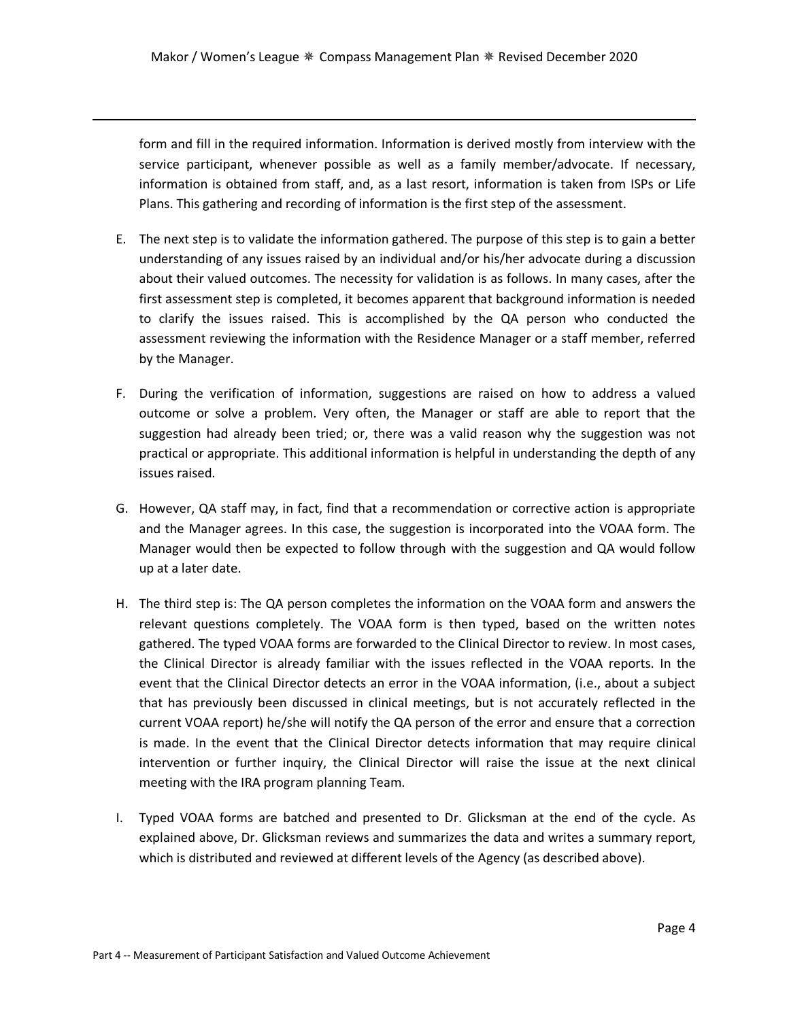form and fill in the required information. Information is derived mostly from interview with the service participant, whenever possible as well as a family member/advocate. If necessary, information is obtained from staff, and, as a last resort, information is taken from ISPs or Life Plans. This gathering and recording of information is the first step of the assessment.

- E. The next step is to validate the information gathered. The purpose of this step is to gain a better understanding of any issues raised by an individual and/or his/her advocate during a discussion about their valued outcomes. The necessity for validation is as follows. In many cases, after the first assessment step is completed, it becomes apparent that background information is needed to clarify the issues raised. This is accomplished by the QA person who conducted the assessment reviewing the information with the Residence Manager or a staff member, referred by the Manager.
- F. During the verification of information, suggestions are raised on how to address a valued outcome or solve a problem. Very often, the Manager or staff are able to report that the suggestion had already been tried; or, there was a valid reason why the suggestion was not practical or appropriate. This additional information is helpful in understanding the depth of any issues raised.
- G. However, QA staff may, in fact, find that a recommendation or corrective action is appropriate and the Manager agrees. In this case, the suggestion is incorporated into the VOAA form. The Manager would then be expected to follow through with the suggestion and QA would follow up at a later date.
- H. The third step is: The QA person completes the information on the VOAA form and answers the relevant questions completely. The VOAA form is then typed, based on the written notes gathered. The typed VOAA forms are forwarded to the Clinical Director to review. In most cases, the Clinical Director is already familiar with the issues reflected in the VOAA reports. In the event that the Clinical Director detects an error in the VOAA information, (i.e., about a subject that has previously been discussed in clinical meetings, but is not accurately reflected in the current VOAA report) he/she will notify the QA person of the error and ensure that a correction is made. In the event that the Clinical Director detects information that may require clinical intervention or further inquiry, the Clinical Director will raise the issue at the next clinical meeting with the IRA program planning Team.
- I. Typed VOAA forms are batched and presented to Dr. Glicksman at the end of the cycle. As explained above, Dr. Glicksman reviews and summarizes the data and writes a summary report, which is distributed and reviewed at different levels of the Agency (as described above).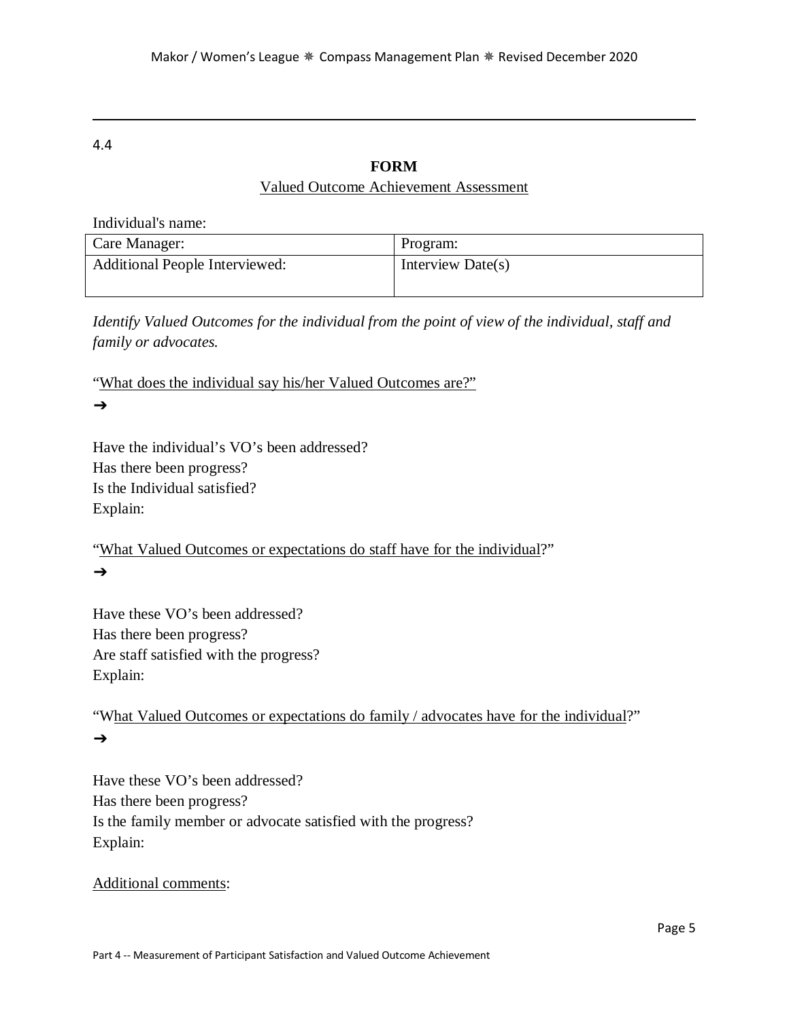# 4.4

# **FORM**

# Valued Outcome Achievement Assessment

Individual's name: Care Manager: Program: Additional People Interviewed: Interview Date(s)

*Identify Valued Outcomes for the individual from the point of view of the individual, staff and family or advocates.* 

"What does the individual say his/her Valued Outcomes are?" ➔

Have the individual's VO's been addressed? Has there been progress? Is the Individual satisfied? Explain:

"What Valued Outcomes or expectations do staff have for the individual?"  $\rightarrow$ 

Have these VO's been addressed? Has there been progress? Are staff satisfied with the progress? Explain:

"What Valued Outcomes or expectations do family / advocates have for the individual?" ➔

Have these VO's been addressed? Has there been progress? Is the family member or advocate satisfied with the progress? Explain:

Additional comments: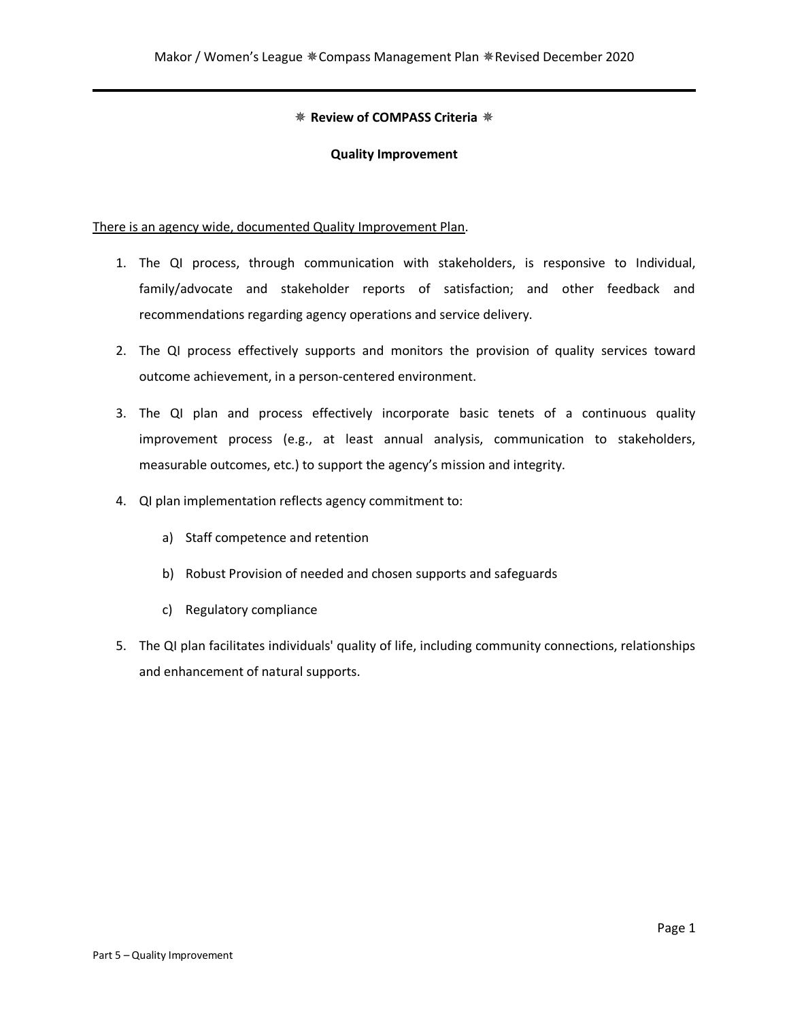# ✵ **Review of COMPASS Criteria** ✵

#### **Quality Improvement**

There is an agency wide, documented Quality Improvement Plan.

- 1. The QI process, through communication with stakeholders, is responsive to Individual, family/advocate and stakeholder reports of satisfaction; and other feedback and recommendations regarding agency operations and service delivery.
- 2. The QI process effectively supports and monitors the provision of quality services toward outcome achievement, in a person-centered environment.
- 3. The QI plan and process effectively incorporate basic tenets of a continuous quality improvement process (e.g., at least annual analysis, communication to stakeholders, measurable outcomes, etc.) to support the agency's mission and integrity.
- 4. QI plan implementation reflects agency commitment to:
	- a) Staff competence and retention
	- b) Robust Provision of needed and chosen supports and safeguards
	- c) Regulatory compliance
- 5. The QI plan facilitates individuals' quality of life, including community connections, relationships and enhancement of natural supports.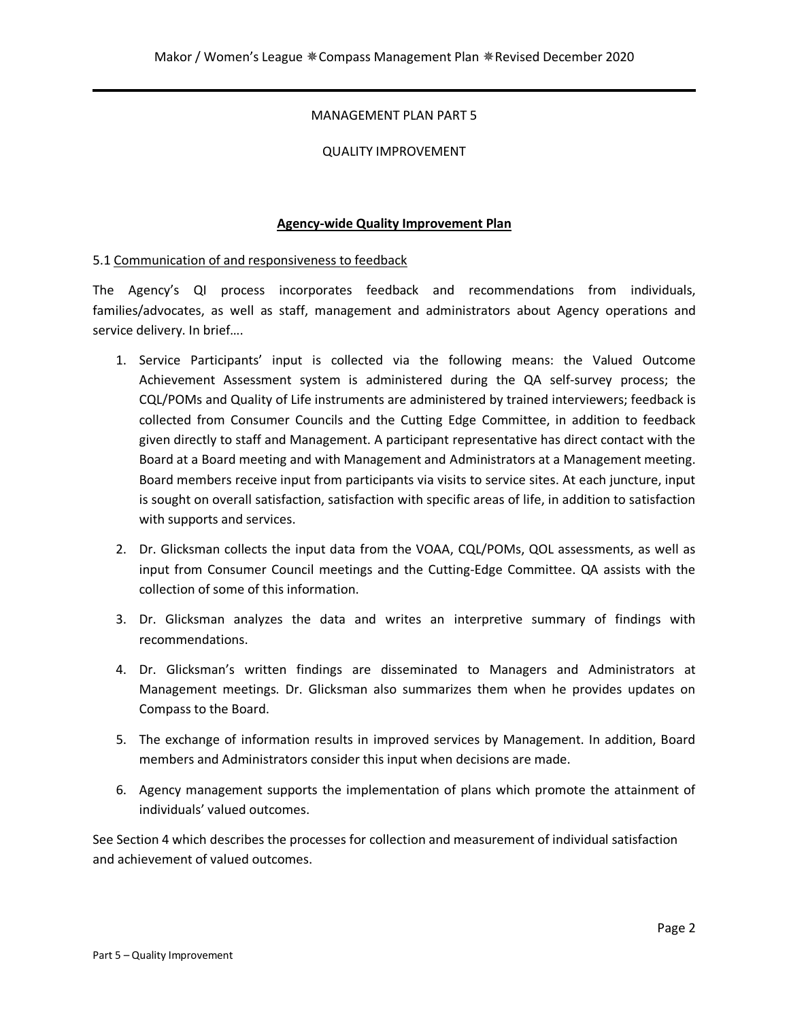# MANAGEMENT PLAN PART 5

## QUALITY IMPROVEMENT

# **Agency-wide Quality Improvement Plan**

## 5.1 Communication of and responsiveness to feedback

The Agency's QI process incorporates feedback and recommendations from individuals, families/advocates, as well as staff, management and administrators about Agency operations and service delivery. In brief….

- 1. Service Participants' input is collected via the following means: the Valued Outcome Achievement Assessment system is administered during the QA self-survey process; the CQL/POMs and Quality of Life instruments are administered by trained interviewers; feedback is collected from Consumer Councils and the Cutting Edge Committee, in addition to feedback given directly to staff and Management. A participant representative has direct contact with the Board at a Board meeting and with Management and Administrators at a Management meeting. Board members receive input from participants via visits to service sites. At each juncture, input is sought on overall satisfaction, satisfaction with specific areas of life, in addition to satisfaction with supports and services.
- 2. Dr. Glicksman collects the input data from the VOAA, CQL/POMs, QOL assessments, as well as input from Consumer Council meetings and the Cutting-Edge Committee. QA assists with the collection of some of this information.
- 3. Dr. Glicksman analyzes the data and writes an interpretive summary of findings with recommendations.
- 4. Dr. Glicksman's written findings are disseminated to Managers and Administrators at Management meetings. Dr. Glicksman also summarizes them when he provides updates on Compass to the Board.
- 5. The exchange of information results in improved services by Management. In addition, Board members and Administrators consider this input when decisions are made.
- 6. Agency management supports the implementation of plans which promote the attainment of individuals' valued outcomes.

See Section 4 which describes the processes for collection and measurement of individual satisfaction and achievement of valued outcomes.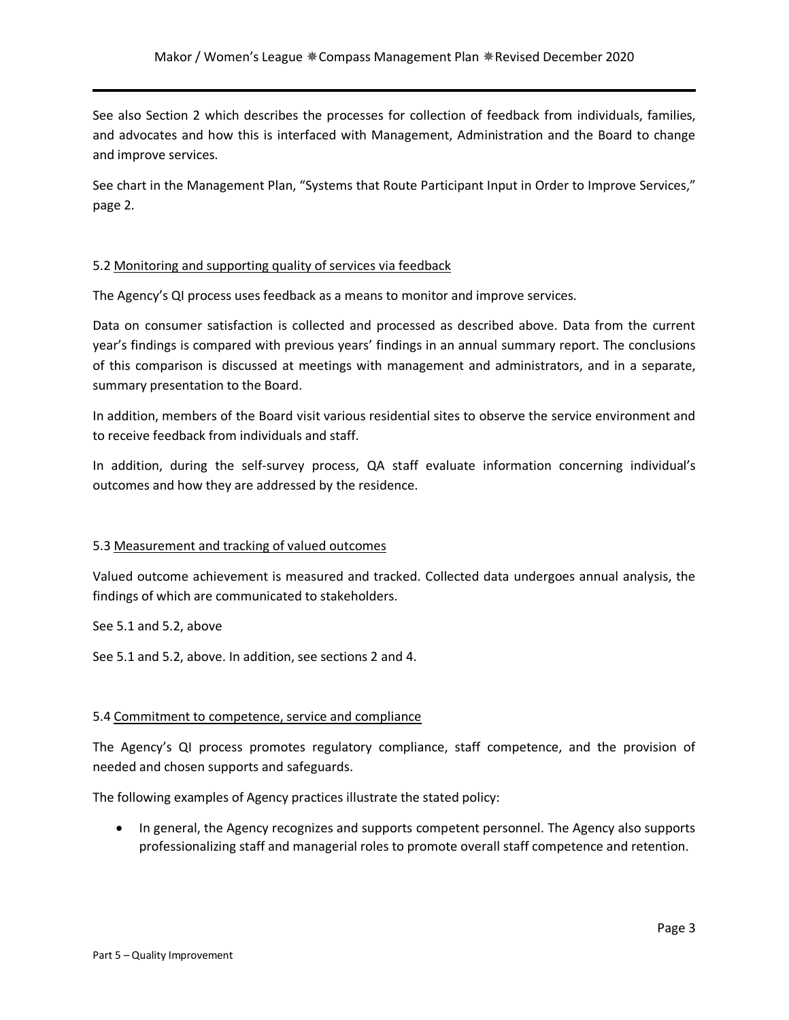See also Section 2 which describes the processes for collection of feedback from individuals, families, and advocates and how this is interfaced with Management, Administration and the Board to change and improve services.

See chart in the Management Plan, "Systems that Route Participant Input in Order to Improve Services," page 2.

## 5.2 Monitoring and supporting quality of services via feedback

The Agency's QI process uses feedback as a means to monitor and improve services.

Data on consumer satisfaction is collected and processed as described above. Data from the current year's findings is compared with previous years' findings in an annual summary report. The conclusions of this comparison is discussed at meetings with management and administrators, and in a separate, summary presentation to the Board.

In addition, members of the Board visit various residential sites to observe the service environment and to receive feedback from individuals and staff.

In addition, during the self-survey process, QA staff evaluate information concerning individual's outcomes and how they are addressed by the residence.

#### 5.3 Measurement and tracking of valued outcomes

Valued outcome achievement is measured and tracked. Collected data undergoes annual analysis, the findings of which are communicated to stakeholders.

See 5.1 and 5.2, above

See 5.1 and 5.2, above. In addition, see sections 2 and 4.

#### 5.4 Commitment to competence, service and compliance

The Agency's QI process promotes regulatory compliance, staff competence, and the provision of needed and chosen supports and safeguards.

The following examples of Agency practices illustrate the stated policy:

• In general, the Agency recognizes and supports competent personnel. The Agency also supports professionalizing staff and managerial roles to promote overall staff competence and retention.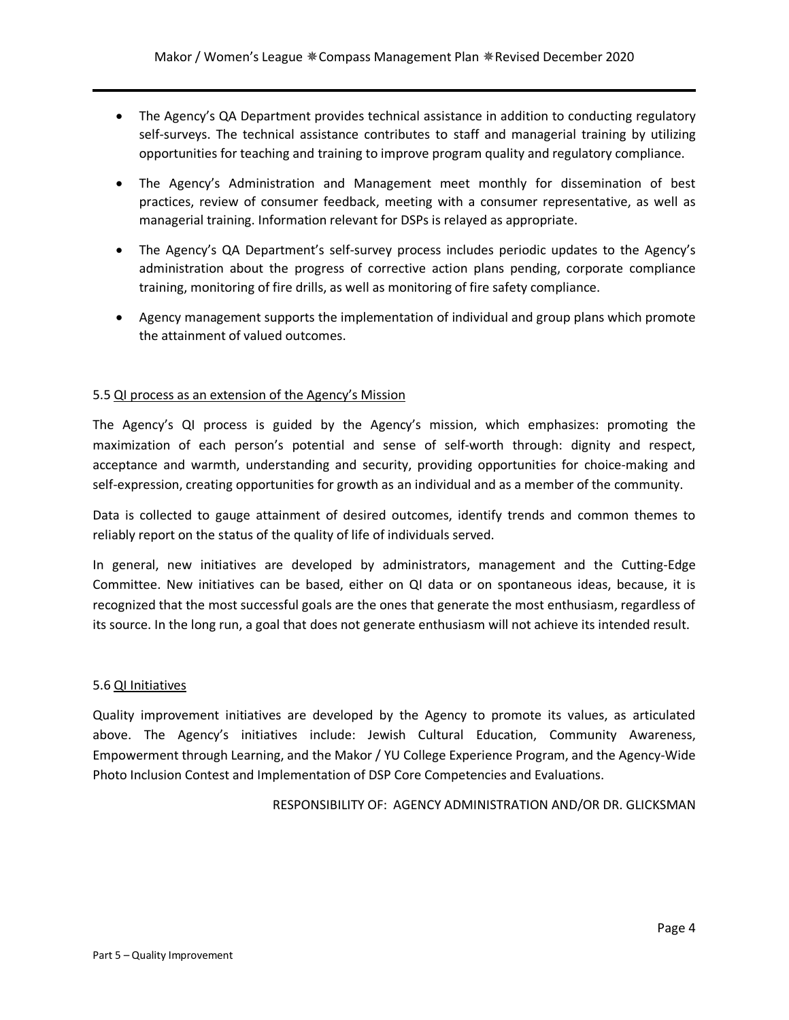- The Agency's QA Department provides technical assistance in addition to conducting regulatory self-surveys. The technical assistance contributes to staff and managerial training by utilizing opportunities for teaching and training to improve program quality and regulatory compliance.
- The Agency's Administration and Management meet monthly for dissemination of best practices, review of consumer feedback, meeting with a consumer representative, as well as managerial training. Information relevant for DSPs is relayed as appropriate.
- The Agency's QA Department's self-survey process includes periodic updates to the Agency's administration about the progress of corrective action plans pending, corporate compliance training, monitoring of fire drills, as well as monitoring of fire safety compliance.
- Agency management supports the implementation of individual and group plans which promote the attainment of valued outcomes.

# 5.5 QI process as an extension of the Agency's Mission

The Agency's QI process is guided by the Agency's mission, which emphasizes: promoting the maximization of each person's potential and sense of self-worth through: dignity and respect, acceptance and warmth, understanding and security, providing opportunities for choice-making and self-expression, creating opportunities for growth as an individual and as a member of the community.

Data is collected to gauge attainment of desired outcomes, identify trends and common themes to reliably report on the status of the quality of life of individuals served.

In general, new initiatives are developed by administrators, management and the Cutting-Edge Committee. New initiatives can be based, either on QI data or on spontaneous ideas, because, it is recognized that the most successful goals are the ones that generate the most enthusiasm, regardless of its source. In the long run, a goal that does not generate enthusiasm will not achieve its intended result.

#### 5.6 QI Initiatives

Quality improvement initiatives are developed by the Agency to promote its values, as articulated above. The Agency's initiatives include: Jewish Cultural Education, Community Awareness, Empowerment through Learning, and the Makor / YU College Experience Program, and the Agency-Wide Photo Inclusion Contest and Implementation of DSP Core Competencies and Evaluations.

RESPONSIBILITY OF: AGENCY ADMINISTRATION AND/OR DR. GLICKSMAN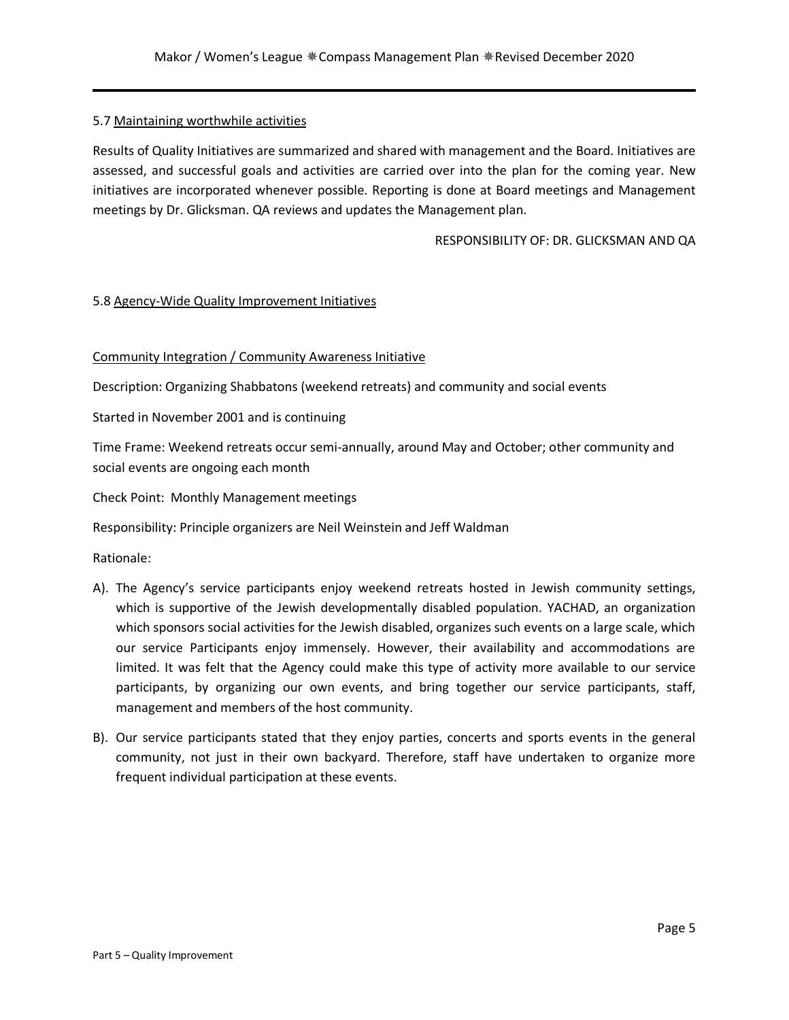#### 5.7 Maintaining worthwhile activities

Results of Quality Initiatives are summarized and shared with management and the Board. Initiatives are assessed, and successful goals and activities are carried over into the plan for the coming year. New initiatives are incorporated whenever possible. Reporting is done at Board meetings and Management meetings by Dr. Glicksman. QA reviews and updates the Management plan.

RESPONSIBILITY OF: DR. GLICKSMAN AND QA

## 5.8 Agency-Wide Quality Improvement Initiatives

## Community Integration / Community Awareness Initiative

Description: Organizing Shabbatons (weekend retreats) and community and social events

Started in November 2001 and is continuing

Time Frame: Weekend retreats occur semi-annually, around May and October; other community and social events are ongoing each month

Check Point: Monthly Management meetings

Responsibility: Principle organizers are Neil Weinstein and Jeff Waldman

Rationale:

- A). The Agency's service participants enjoy weekend retreats hosted in Jewish community settings, which is supportive of the Jewish developmentally disabled population. YACHAD, an organization which sponsors social activities for the Jewish disabled, organizes such events on a large scale, which our service Participants enjoy immensely. However, their availability and accommodations are limited. It was felt that the Agency could make this type of activity more available to our service participants, by organizing our own events, and bring together our service participants, staff, management and members of the host community.
- B). Our service participants stated that they enjoy parties, concerts and sports events in the general community, not just in their own backyard. Therefore, staff have undertaken to organize more frequent individual participation at these events.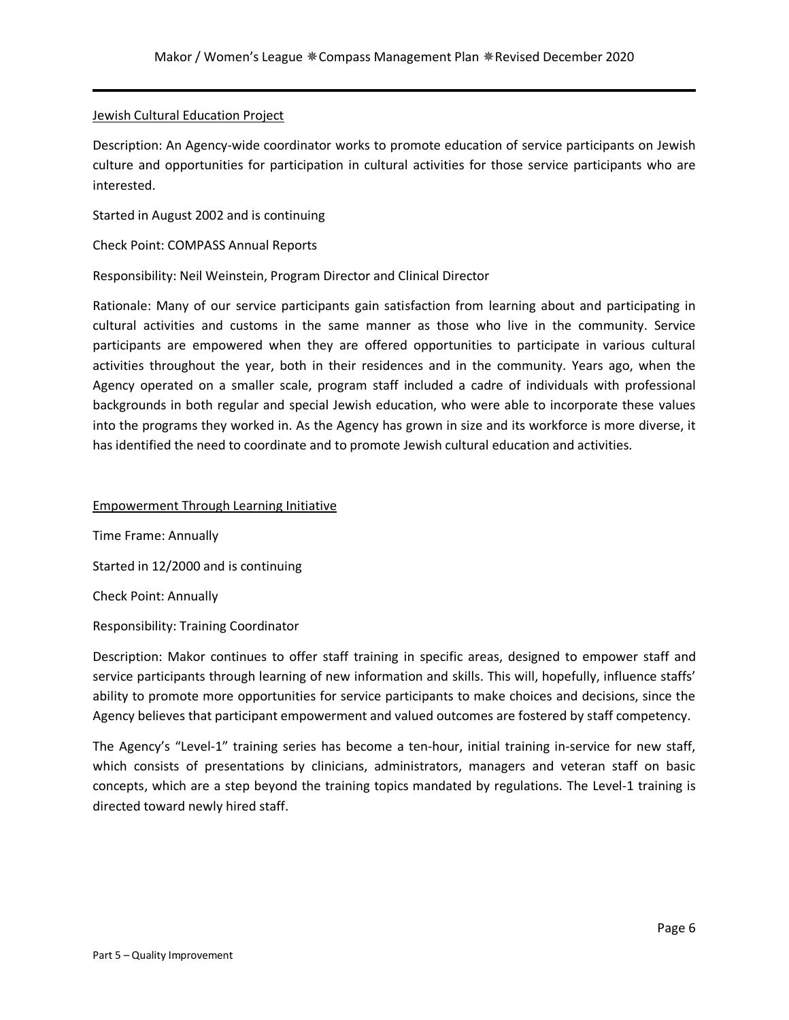#### Jewish Cultural Education Project

Description: An Agency-wide coordinator works to promote education of service participants on Jewish culture and opportunities for participation in cultural activities for those service participants who are interested.

Started in August 2002 and is continuing

Check Point: COMPASS Annual Reports

Responsibility: Neil Weinstein, Program Director and Clinical Director

Rationale: Many of our service participants gain satisfaction from learning about and participating in cultural activities and customs in the same manner as those who live in the community. Service participants are empowered when they are offered opportunities to participate in various cultural activities throughout the year, both in their residences and in the community. Years ago, when the Agency operated on a smaller scale, program staff included a cadre of individuals with professional backgrounds in both regular and special Jewish education, who were able to incorporate these values into the programs they worked in. As the Agency has grown in size and its workforce is more diverse, it has identified the need to coordinate and to promote Jewish cultural education and activities.

Empowerment Through Learning Initiative

Time Frame: Annually Started in 12/2000 and is continuing Check Point: Annually

Responsibility: Training Coordinator

Description: Makor continues to offer staff training in specific areas, designed to empower staff and service participants through learning of new information and skills. This will, hopefully, influence staffs' ability to promote more opportunities for service participants to make choices and decisions, since the Agency believes that participant empowerment and valued outcomes are fostered by staff competency.

The Agency's "Level-1" training series has become a ten-hour, initial training in-service for new staff, which consists of presentations by clinicians, administrators, managers and veteran staff on basic concepts, which are a step beyond the training topics mandated by regulations. The Level-1 training is directed toward newly hired staff.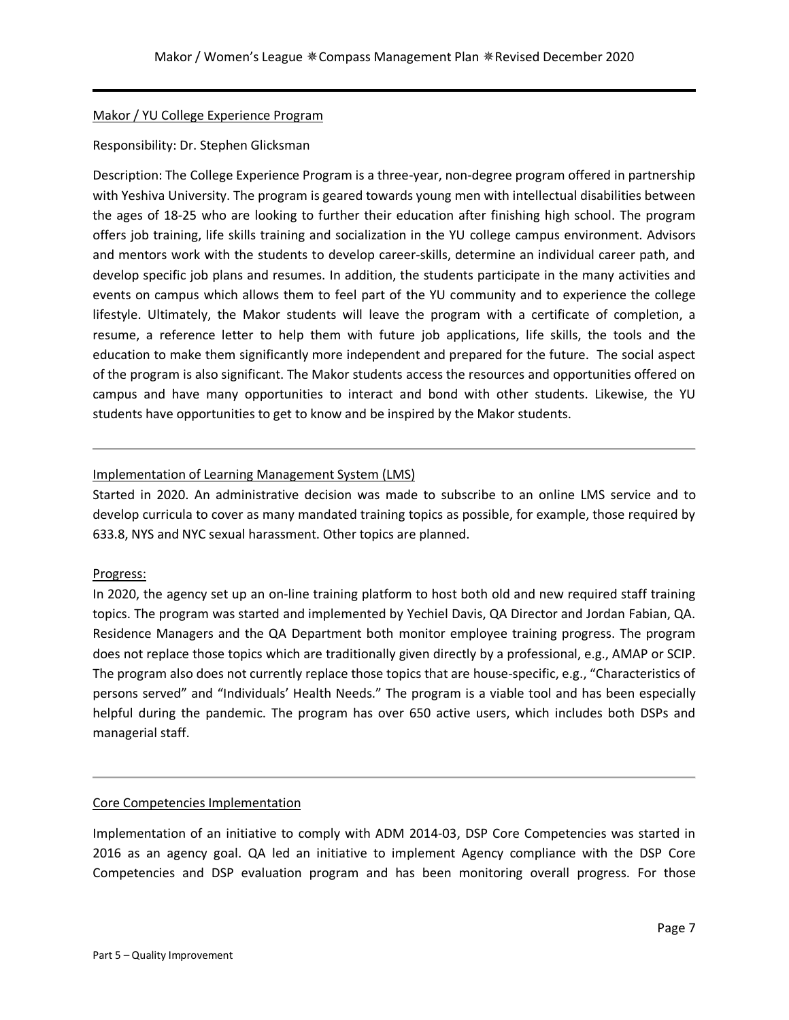# Makor / YU College Experience Program

## Responsibility: Dr. Stephen Glicksman

Description: The College Experience Program is a three-year, non-degree program offered in partnership with Yeshiva University. The program is geared towards young men with intellectual disabilities between the ages of 18-25 who are looking to further their education after finishing high school. The program offers job training, life skills training and socialization in the YU college campus environment. Advisors and mentors work with the students to develop career-skills, determine an individual career path, and develop specific job plans and resumes. In addition, the students participate in the many activities and events on campus which allows them to feel part of the YU community and to experience the college lifestyle. Ultimately, the Makor students will leave the program with a certificate of completion, a resume, a reference letter to help them with future job applications, life skills, the tools and the education to make them significantly more independent and prepared for the future. The social aspect of the program is also significant. The Makor students access the resources and opportunities offered on campus and have many opportunities to interact and bond with other students. Likewise, the YU students have opportunities to get to know and be inspired by the Makor students.

# Implementation of Learning Management System (LMS)

Started in 2020. An administrative decision was made to subscribe to an online LMS service and to develop curricula to cover as many mandated training topics as possible, for example, those required by 633.8, NYS and NYC sexual harassment. Other topics are planned.

# Progress:

In 2020, the agency set up an on-line training platform to host both old and new required staff training topics. The program was started and implemented by Yechiel Davis, QA Director and Jordan Fabian, QA. Residence Managers and the QA Department both monitor employee training progress. The program does not replace those topics which are traditionally given directly by a professional, e.g., AMAP or SCIP. The program also does not currently replace those topics that are house-specific, e.g., "Characteristics of persons served" and "Individuals' Health Needs." The program is a viable tool and has been especially helpful during the pandemic. The program has over 650 active users, which includes both DSPs and managerial staff.

#### Core Competencies Implementation

Implementation of an initiative to comply with ADM 2014-03, DSP Core Competencies was started in 2016 as an agency goal. QA led an initiative to implement Agency compliance with the DSP Core Competencies and DSP evaluation program and has been monitoring overall progress. For those